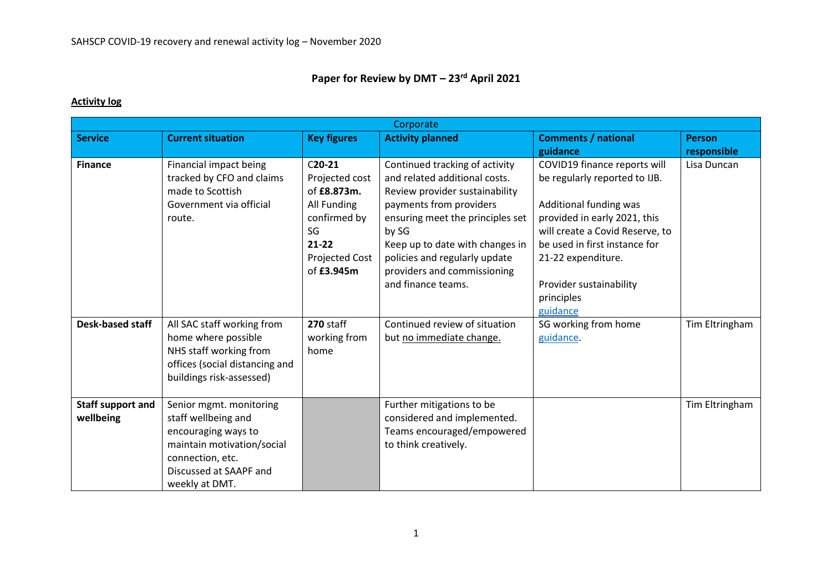## **Paper for Review by DMT – 23rd April 2021**

## **Activity log**

| Corporate                             |                                                                                                                                                                     |                                                                                                                             |                                                                                                                                                                                                                                                                                                    |                                                                                                                                                                                                                                                            |                |  |
|---------------------------------------|---------------------------------------------------------------------------------------------------------------------------------------------------------------------|-----------------------------------------------------------------------------------------------------------------------------|----------------------------------------------------------------------------------------------------------------------------------------------------------------------------------------------------------------------------------------------------------------------------------------------------|------------------------------------------------------------------------------------------------------------------------------------------------------------------------------------------------------------------------------------------------------------|----------------|--|
| <b>Service</b>                        | <b>Current situation</b>                                                                                                                                            | <b>Key figures</b>                                                                                                          | <b>Activity planned</b>                                                                                                                                                                                                                                                                            | <b>Comments / national</b>                                                                                                                                                                                                                                 | <b>Person</b>  |  |
|                                       |                                                                                                                                                                     |                                                                                                                             |                                                                                                                                                                                                                                                                                                    | guidance                                                                                                                                                                                                                                                   | responsible    |  |
| <b>Finance</b>                        | Financial impact being<br>tracked by CFO and claims<br>made to Scottish<br>Government via official<br>route.                                                        | $C20-21$<br>Projected cost<br>of £8.873m.<br>All Funding<br>confirmed by<br>SG<br>$21 - 22$<br>Projected Cost<br>of £3.945m | Continued tracking of activity<br>and related additional costs.<br>Review provider sustainability<br>payments from providers<br>ensuring meet the principles set<br>by SG<br>Keep up to date with changes in<br>policies and regularly update<br>providers and commissioning<br>and finance teams. | COVID19 finance reports will<br>be regularly reported to IJB.<br>Additional funding was<br>provided in early 2021, this<br>will create a Covid Reserve, to<br>be used in first instance for<br>21-22 expenditure.<br>Provider sustainability<br>principles | Lisa Duncan    |  |
|                                       |                                                                                                                                                                     |                                                                                                                             |                                                                                                                                                                                                                                                                                                    | guidance                                                                                                                                                                                                                                                   |                |  |
| <b>Desk-based staff</b>               | All SAC staff working from<br>home where possible<br>NHS staff working from<br>offices (social distancing and<br>buildings risk-assessed)                           | 270 staff<br>working from<br>home                                                                                           | Continued review of situation<br>but no immediate change.                                                                                                                                                                                                                                          | SG working from home<br>guidance.                                                                                                                                                                                                                          | Tim Eltringham |  |
| <b>Staff support and</b><br>wellbeing | Senior mgmt. monitoring<br>staff wellbeing and<br>encouraging ways to<br>maintain motivation/social<br>connection, etc.<br>Discussed at SAAPF and<br>weekly at DMT. |                                                                                                                             | Further mitigations to be<br>considered and implemented.<br>Teams encouraged/empowered<br>to think creatively.                                                                                                                                                                                     |                                                                                                                                                                                                                                                            | Tim Eltringham |  |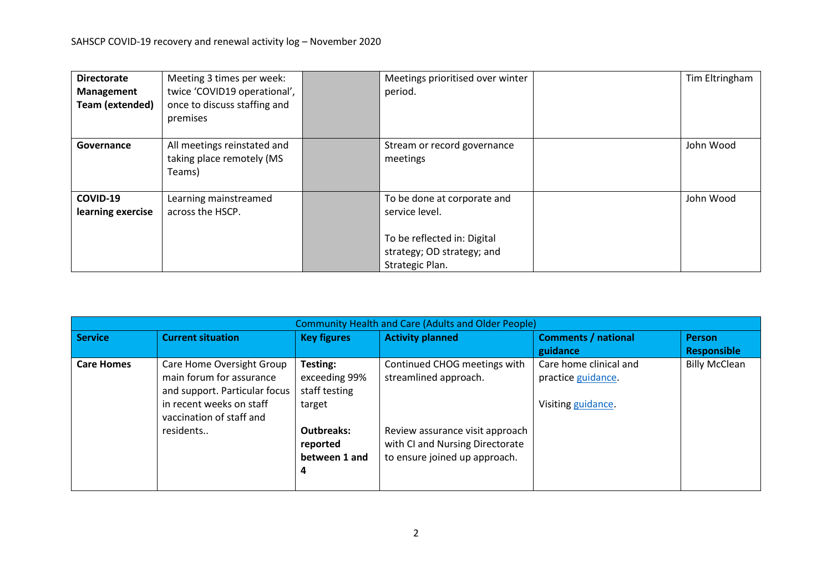| <b>Directorate</b><br>Management<br>Team (extended) | Meeting 3 times per week:<br>twice 'COVID19 operational',<br>once to discuss staffing and<br>premises | Meetings prioritised over winter<br>period.                                                                                   | Tim Eltringham |
|-----------------------------------------------------|-------------------------------------------------------------------------------------------------------|-------------------------------------------------------------------------------------------------------------------------------|----------------|
| Governance                                          | All meetings reinstated and<br>taking place remotely (MS<br>Teams)                                    | Stream or record governance<br>meetings                                                                                       | John Wood      |
| COVID-19<br>learning exercise                       | Learning mainstreamed<br>across the HSCP.                                                             | To be done at corporate and<br>service level.<br>To be reflected in: Digital<br>strategy; OD strategy; and<br>Strategic Plan. | John Wood      |

| <b>Community Health and Care (Adults and Older People)</b> |                               |                    |                                 |                            |                      |  |  |  |
|------------------------------------------------------------|-------------------------------|--------------------|---------------------------------|----------------------------|----------------------|--|--|--|
| <b>Service</b>                                             | <b>Current situation</b>      | <b>Key figures</b> | <b>Activity planned</b>         | <b>Comments / national</b> | <b>Person</b>        |  |  |  |
|                                                            |                               |                    |                                 | guidance                   | <b>Responsible</b>   |  |  |  |
| <b>Care Homes</b>                                          | Care Home Oversight Group     | Testing:           | Continued CHOG meetings with    | Care home clinical and     | <b>Billy McClean</b> |  |  |  |
|                                                            | main forum for assurance      | exceeding 99%      | streamlined approach.           | practice guidance.         |                      |  |  |  |
|                                                            | and support. Particular focus | staff testing      |                                 |                            |                      |  |  |  |
|                                                            | in recent weeks on staff      | target             |                                 | Visiting guidance.         |                      |  |  |  |
|                                                            | vaccination of staff and      |                    |                                 |                            |                      |  |  |  |
|                                                            | residents                     | <b>Outbreaks:</b>  | Review assurance visit approach |                            |                      |  |  |  |
|                                                            |                               | reported           | with CI and Nursing Directorate |                            |                      |  |  |  |
|                                                            |                               | between 1 and      | to ensure joined up approach.   |                            |                      |  |  |  |
|                                                            |                               | 4                  |                                 |                            |                      |  |  |  |
|                                                            |                               |                    |                                 |                            |                      |  |  |  |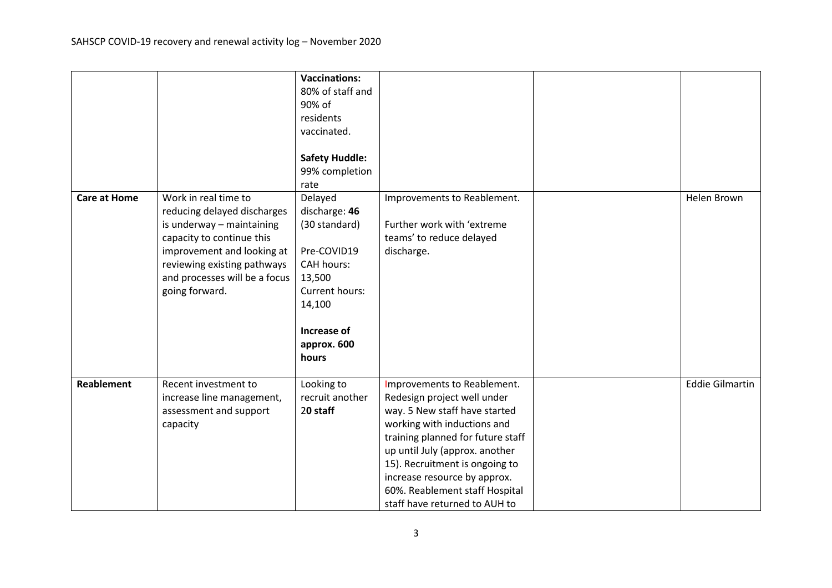|                     |                                                                                                                                                                                                                               | <b>Vaccinations:</b><br>80% of staff and<br>90% of<br>residents<br>vaccinated.<br><b>Safety Huddle:</b><br>99% completion<br>rate                          |                                                                                                                                                                                                                                                                                                                                        |                        |
|---------------------|-------------------------------------------------------------------------------------------------------------------------------------------------------------------------------------------------------------------------------|------------------------------------------------------------------------------------------------------------------------------------------------------------|----------------------------------------------------------------------------------------------------------------------------------------------------------------------------------------------------------------------------------------------------------------------------------------------------------------------------------------|------------------------|
| <b>Care at Home</b> | Work in real time to<br>reducing delayed discharges<br>is underway - maintaining<br>capacity to continue this<br>improvement and looking at<br>reviewing existing pathways<br>and processes will be a focus<br>going forward. | Delayed<br>discharge: 46<br>(30 standard)<br>Pre-COVID19<br><b>CAH hours:</b><br>13,500<br>Current hours:<br>14,100<br>Increase of<br>approx. 600<br>hours | Improvements to Reablement.<br>Further work with 'extreme<br>teams' to reduce delayed<br>discharge.                                                                                                                                                                                                                                    | Helen Brown            |
| <b>Reablement</b>   | Recent investment to<br>increase line management,<br>assessment and support<br>capacity                                                                                                                                       | Looking to<br>recruit another<br>20 staff                                                                                                                  | Improvements to Reablement.<br>Redesign project well under<br>way. 5 New staff have started<br>working with inductions and<br>training planned for future staff<br>up until July (approx. another<br>15). Recruitment is ongoing to<br>increase resource by approx.<br>60%. Reablement staff Hospital<br>staff have returned to AUH to | <b>Eddie Gilmartin</b> |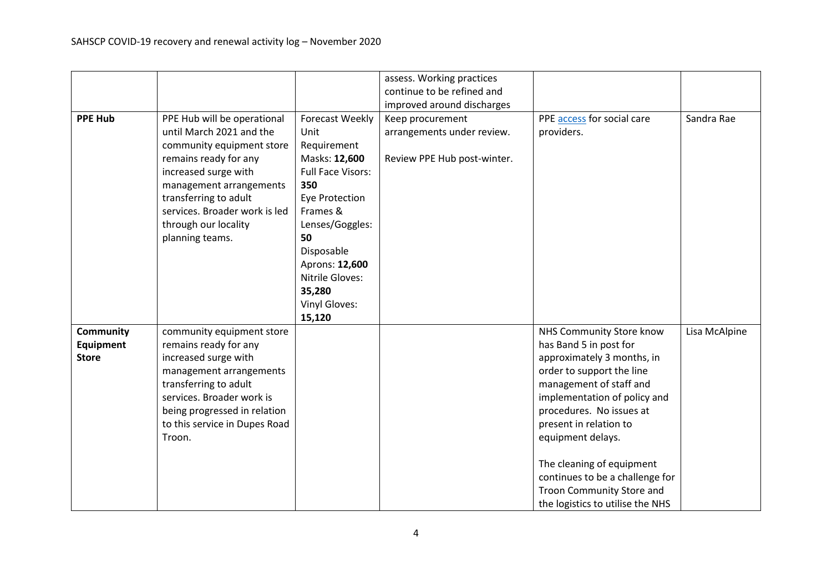|                  |                               |                          | assess. Working practices   |                                  |               |
|------------------|-------------------------------|--------------------------|-----------------------------|----------------------------------|---------------|
|                  |                               |                          | continue to be refined and  |                                  |               |
|                  |                               |                          | improved around discharges  |                                  |               |
| <b>PPE Hub</b>   | PPE Hub will be operational   | <b>Forecast Weekly</b>   | Keep procurement            | PPE access for social care       | Sandra Rae    |
|                  | until March 2021 and the      | Unit                     | arrangements under review.  | providers.                       |               |
|                  |                               |                          |                             |                                  |               |
|                  | community equipment store     | Requirement              |                             |                                  |               |
|                  | remains ready for any         | Masks: 12,600            | Review PPE Hub post-winter. |                                  |               |
|                  | increased surge with          | <b>Full Face Visors:</b> |                             |                                  |               |
|                  | management arrangements       | 350                      |                             |                                  |               |
|                  | transferring to adult         | <b>Eye Protection</b>    |                             |                                  |               |
|                  | services. Broader work is led | Frames &                 |                             |                                  |               |
|                  | through our locality          | Lenses/Goggles:          |                             |                                  |               |
|                  | planning teams.               | 50                       |                             |                                  |               |
|                  |                               | Disposable               |                             |                                  |               |
|                  |                               | Aprons: 12,600           |                             |                                  |               |
|                  |                               | Nitrile Gloves:          |                             |                                  |               |
|                  |                               | 35,280                   |                             |                                  |               |
|                  |                               | Vinyl Gloves:            |                             |                                  |               |
|                  |                               | 15,120                   |                             |                                  |               |
| <b>Community</b> | community equipment store     |                          |                             | NHS Community Store know         | Lisa McAlpine |
| Equipment        | remains ready for any         |                          |                             | has Band 5 in post for           |               |
| <b>Store</b>     | increased surge with          |                          |                             | approximately 3 months, in       |               |
|                  | management arrangements       |                          |                             | order to support the line        |               |
|                  | transferring to adult         |                          |                             | management of staff and          |               |
|                  | services. Broader work is     |                          |                             | implementation of policy and     |               |
|                  | being progressed in relation  |                          |                             | procedures. No issues at         |               |
|                  | to this service in Dupes Road |                          |                             | present in relation to           |               |
|                  | Troon.                        |                          |                             | equipment delays.                |               |
|                  |                               |                          |                             |                                  |               |
|                  |                               |                          |                             | The cleaning of equipment        |               |
|                  |                               |                          |                             | continues to be a challenge for  |               |
|                  |                               |                          |                             | Troon Community Store and        |               |
|                  |                               |                          |                             |                                  |               |
|                  |                               |                          |                             | the logistics to utilise the NHS |               |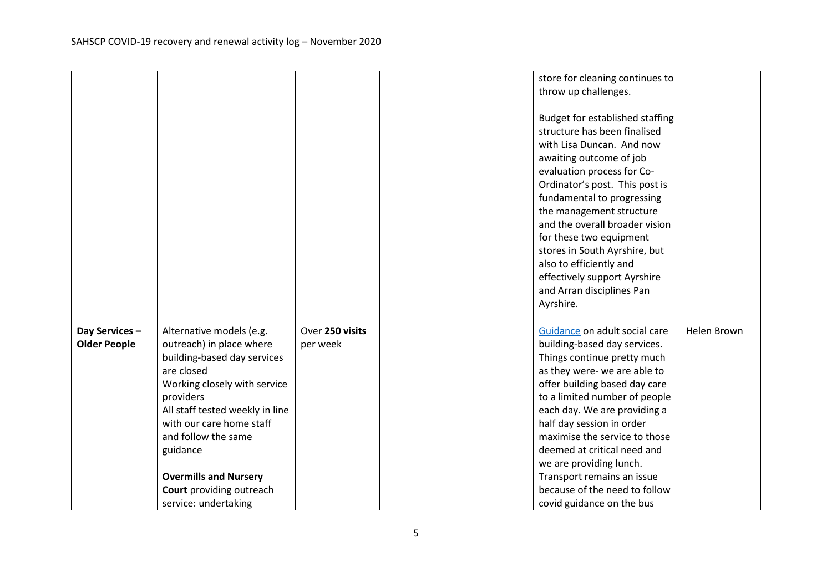|                     |                                 |                 | store for cleaning continues to                             |             |
|---------------------|---------------------------------|-----------------|-------------------------------------------------------------|-------------|
|                     |                                 |                 | throw up challenges.                                        |             |
|                     |                                 |                 |                                                             |             |
|                     |                                 |                 | Budget for established staffing                             |             |
|                     |                                 |                 | structure has been finalised                                |             |
|                     |                                 |                 | with Lisa Duncan. And now                                   |             |
|                     |                                 |                 | awaiting outcome of job                                     |             |
|                     |                                 |                 | evaluation process for Co-                                  |             |
|                     |                                 |                 | Ordinator's post. This post is                              |             |
|                     |                                 |                 | fundamental to progressing                                  |             |
|                     |                                 |                 | the management structure                                    |             |
|                     |                                 |                 | and the overall broader vision                              |             |
|                     |                                 |                 | for these two equipment                                     |             |
|                     |                                 |                 | stores in South Ayrshire, but                               |             |
|                     |                                 |                 | also to efficiently and                                     |             |
|                     |                                 |                 | effectively support Ayrshire                                |             |
|                     |                                 |                 | and Arran disciplines Pan                                   |             |
|                     |                                 |                 | Ayrshire.                                                   |             |
|                     |                                 |                 |                                                             |             |
| Day Services -      | Alternative models (e.g.        | Over 250 visits | Guidance on adult social care                               | Helen Brown |
| <b>Older People</b> | outreach) in place where        | per week        | building-based day services.                                |             |
|                     | building-based day services     |                 | Things continue pretty much                                 |             |
|                     | are closed                      |                 | as they were- we are able to                                |             |
|                     | Working closely with service    |                 | offer building based day care                               |             |
|                     | providers                       |                 | to a limited number of people                               |             |
|                     | All staff tested weekly in line |                 | each day. We are providing a                                |             |
|                     | with our care home staff        |                 | half day session in order                                   |             |
|                     | and follow the same             |                 | maximise the service to those                               |             |
|                     | guidance                        |                 | deemed at critical need and                                 |             |
|                     |                                 |                 | we are providing lunch.                                     |             |
|                     | <b>Overmills and Nursery</b>    |                 | Transport remains an issue<br>because of the need to follow |             |
|                     | Court providing outreach        |                 |                                                             |             |
|                     | service: undertaking            |                 | covid guidance on the bus                                   |             |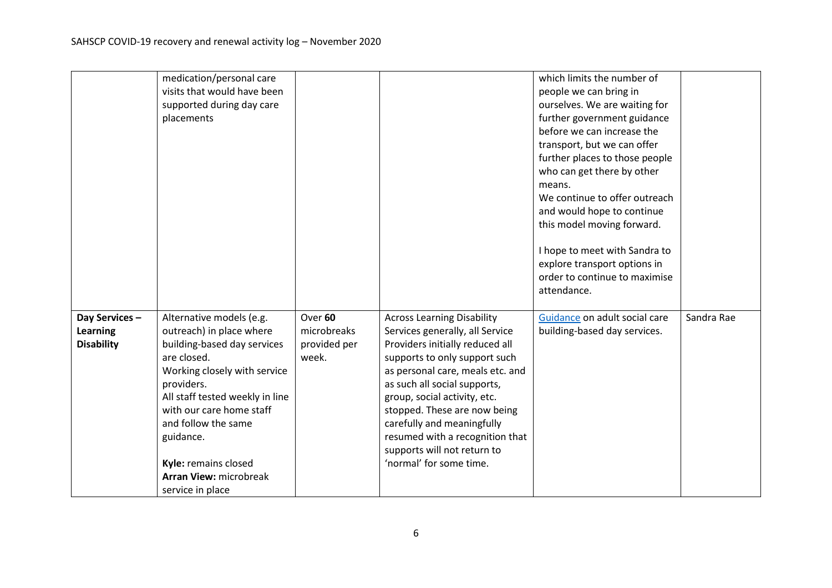|                   | medication/personal care        |              |                                   | which limits the number of     |            |
|-------------------|---------------------------------|--------------|-----------------------------------|--------------------------------|------------|
|                   | visits that would have been     |              |                                   | people we can bring in         |            |
|                   | supported during day care       |              |                                   | ourselves. We are waiting for  |            |
|                   | placements                      |              |                                   | further government guidance    |            |
|                   |                                 |              |                                   | before we can increase the     |            |
|                   |                                 |              |                                   | transport, but we can offer    |            |
|                   |                                 |              |                                   | further places to those people |            |
|                   |                                 |              |                                   | who can get there by other     |            |
|                   |                                 |              |                                   | means.                         |            |
|                   |                                 |              |                                   | We continue to offer outreach  |            |
|                   |                                 |              |                                   | and would hope to continue     |            |
|                   |                                 |              |                                   | this model moving forward.     |            |
|                   |                                 |              |                                   |                                |            |
|                   |                                 |              |                                   | I hope to meet with Sandra to  |            |
|                   |                                 |              |                                   | explore transport options in   |            |
|                   |                                 |              |                                   | order to continue to maximise  |            |
|                   |                                 |              |                                   | attendance.                    |            |
|                   |                                 |              |                                   |                                |            |
| Day Services-     | Alternative models (e.g.        | Over 60      | <b>Across Learning Disability</b> | Guidance on adult social care  | Sandra Rae |
| <b>Learning</b>   | outreach) in place where        | microbreaks  | Services generally, all Service   | building-based day services.   |            |
| <b>Disability</b> | building-based day services     | provided per | Providers initially reduced all   |                                |            |
|                   | are closed.                     | week.        | supports to only support such     |                                |            |
|                   | Working closely with service    |              | as personal care, meals etc. and  |                                |            |
|                   | providers.                      |              | as such all social supports,      |                                |            |
|                   | All staff tested weekly in line |              | group, social activity, etc.      |                                |            |
|                   | with our care home staff        |              | stopped. These are now being      |                                |            |
|                   | and follow the same             |              | carefully and meaningfully        |                                |            |
|                   | guidance.                       |              | resumed with a recognition that   |                                |            |
|                   |                                 |              | supports will not return to       |                                |            |
|                   | Kyle: remains closed            |              | 'normal' for some time.           |                                |            |
|                   | <b>Arran View: microbreak</b>   |              |                                   |                                |            |
|                   | service in place                |              |                                   |                                |            |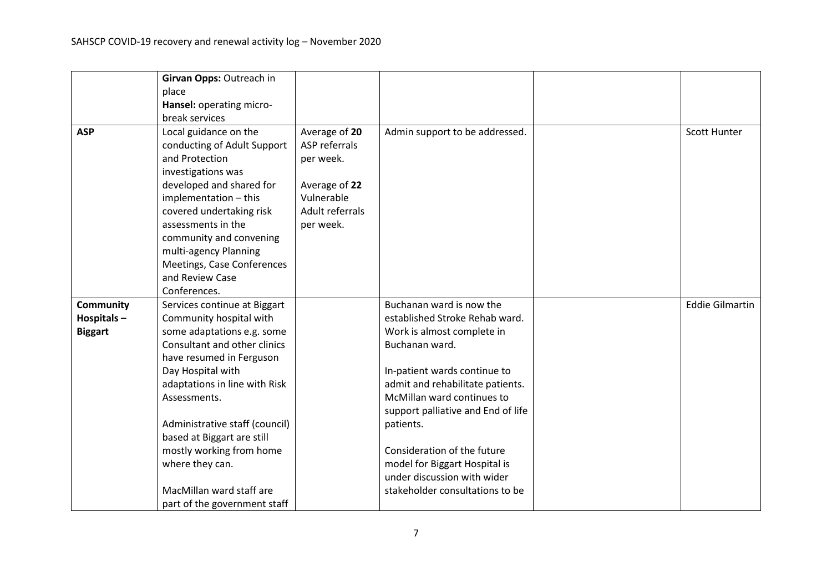|                  | Girvan Opps: Outreach in       |                 |                                    |                        |
|------------------|--------------------------------|-----------------|------------------------------------|------------------------|
|                  | place                          |                 |                                    |                        |
|                  | Hansel: operating micro-       |                 |                                    |                        |
|                  | break services                 |                 |                                    |                        |
| <b>ASP</b>       | Local guidance on the          | Average of 20   | Admin support to be addressed.     | <b>Scott Hunter</b>    |
|                  | conducting of Adult Support    | ASP referrals   |                                    |                        |
|                  | and Protection                 | per week.       |                                    |                        |
|                  | investigations was             |                 |                                    |                        |
|                  | developed and shared for       | Average of 22   |                                    |                        |
|                  | implementation - this          | Vulnerable      |                                    |                        |
|                  | covered undertaking risk       | Adult referrals |                                    |                        |
|                  | assessments in the             | per week.       |                                    |                        |
|                  | community and convening        |                 |                                    |                        |
|                  | multi-agency Planning          |                 |                                    |                        |
|                  | Meetings, Case Conferences     |                 |                                    |                        |
|                  | and Review Case                |                 |                                    |                        |
|                  | Conferences.                   |                 |                                    |                        |
| <b>Community</b> | Services continue at Biggart   |                 | Buchanan ward is now the           | <b>Eddie Gilmartin</b> |
| Hospitals-       | Community hospital with        |                 | established Stroke Rehab ward.     |                        |
| <b>Biggart</b>   | some adaptations e.g. some     |                 | Work is almost complete in         |                        |
|                  | Consultant and other clinics   |                 | Buchanan ward.                     |                        |
|                  | have resumed in Ferguson       |                 |                                    |                        |
|                  | Day Hospital with              |                 | In-patient wards continue to       |                        |
|                  | adaptations in line with Risk  |                 | admit and rehabilitate patients.   |                        |
|                  | Assessments.                   |                 | McMillan ward continues to         |                        |
|                  |                                |                 | support palliative and End of life |                        |
|                  | Administrative staff (council) |                 | patients.                          |                        |
|                  | based at Biggart are still     |                 |                                    |                        |
|                  | mostly working from home       |                 | Consideration of the future        |                        |
|                  | where they can.                |                 | model for Biggart Hospital is      |                        |
|                  |                                |                 | under discussion with wider        |                        |
|                  | MacMillan ward staff are       |                 | stakeholder consultations to be    |                        |
|                  | part of the government staff   |                 |                                    |                        |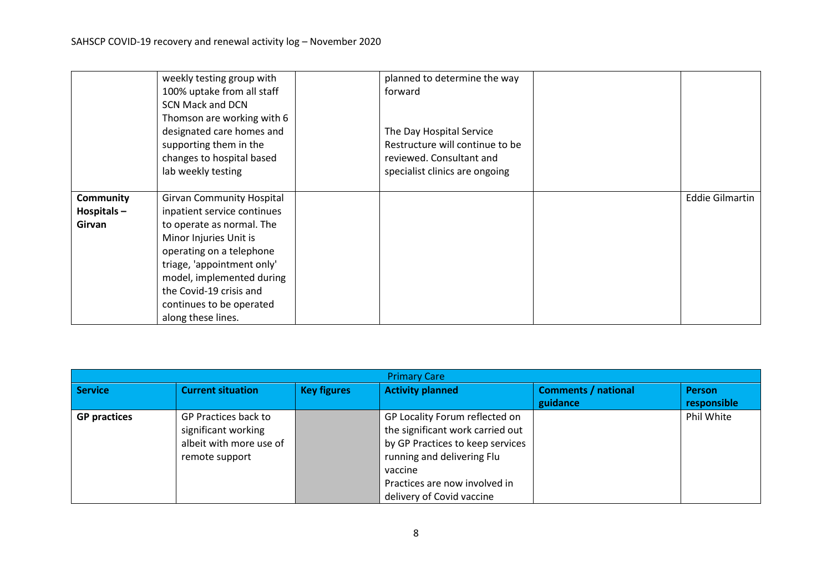|                                          | weekly testing group with<br>100% uptake from all staff<br><b>SCN Mack and DCN</b><br>Thomson are working with 6<br>designated care homes and<br>supporting them in the<br>changes to hospital based<br>lab weekly testing                                                                 | planned to determine the way<br>forward<br>The Day Hospital Service<br>Restructure will continue to be<br>reviewed. Consultant and<br>specialist clinics are ongoing |                        |
|------------------------------------------|--------------------------------------------------------------------------------------------------------------------------------------------------------------------------------------------------------------------------------------------------------------------------------------------|----------------------------------------------------------------------------------------------------------------------------------------------------------------------|------------------------|
| <b>Community</b><br>Hospitals-<br>Girvan | <b>Girvan Community Hospital</b><br>inpatient service continues<br>to operate as normal. The<br>Minor Injuries Unit is<br>operating on a telephone<br>triage, 'appointment only'<br>model, implemented during<br>the Covid-19 crisis and<br>continues to be operated<br>along these lines. |                                                                                                                                                                      | <b>Eddie Gilmartin</b> |

| <b>Primary Care</b> |                                                                                          |                    |                                                                                                                                                                                                               |                                        |                              |  |  |
|---------------------|------------------------------------------------------------------------------------------|--------------------|---------------------------------------------------------------------------------------------------------------------------------------------------------------------------------------------------------------|----------------------------------------|------------------------------|--|--|
| <b>Service</b>      | <b>Current situation</b>                                                                 | <b>Key figures</b> | <b>Activity planned</b>                                                                                                                                                                                       | <b>Comments / national</b><br>guidance | <b>Person</b><br>responsible |  |  |
| <b>GP practices</b> | GP Practices back to<br>significant working<br>albeit with more use of<br>remote support |                    | GP Locality Forum reflected on<br>the significant work carried out<br>by GP Practices to keep services<br>running and delivering Flu<br>vaccine<br>Practices are now involved in<br>delivery of Covid vaccine |                                        | Phil White                   |  |  |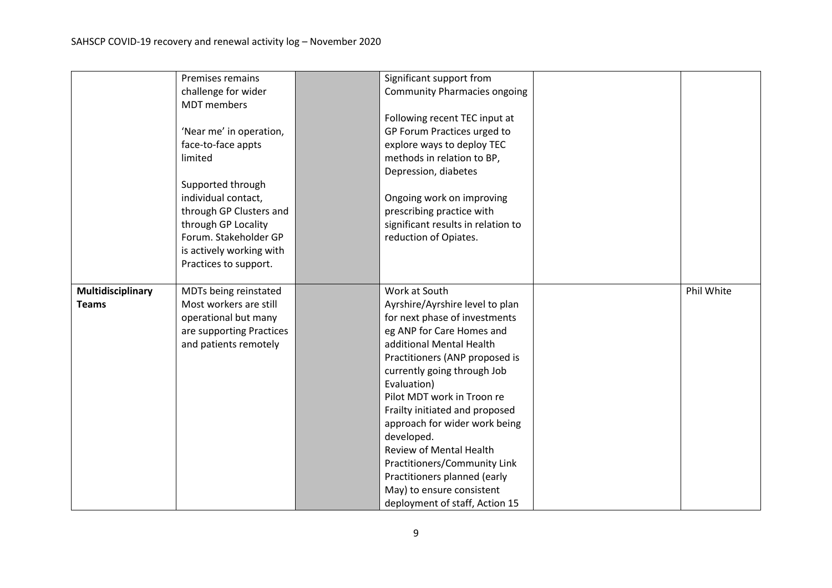|                   | Premises remains         | Significant support from                    |            |
|-------------------|--------------------------|---------------------------------------------|------------|
|                   | challenge for wider      | <b>Community Pharmacies ongoing</b>         |            |
|                   | <b>MDT</b> members       |                                             |            |
|                   |                          | Following recent TEC input at               |            |
|                   | 'Near me' in operation,  | GP Forum Practices urged to                 |            |
|                   | face-to-face appts       | explore ways to deploy TEC                  |            |
|                   | limited                  | methods in relation to BP,                  |            |
|                   |                          | Depression, diabetes                        |            |
|                   | Supported through        |                                             |            |
|                   | individual contact,      | Ongoing work on improving                   |            |
|                   | through GP Clusters and  | prescribing practice with                   |            |
|                   | through GP Locality      | significant results in relation to          |            |
|                   | Forum. Stakeholder GP    | reduction of Opiates.                       |            |
|                   | is actively working with |                                             |            |
|                   | Practices to support.    |                                             |            |
|                   |                          |                                             |            |
| Multidisciplinary | MDTs being reinstated    | Work at South                               | Phil White |
| <b>Teams</b>      | Most workers are still   | Ayrshire/Ayrshire level to plan             |            |
|                   | operational but many     | for next phase of investments               |            |
|                   | are supporting Practices | eg ANP for Care Homes and                   |            |
|                   | and patients remotely    | additional Mental Health                    |            |
|                   |                          | Practitioners (ANP proposed is              |            |
|                   |                          | currently going through Job                 |            |
|                   |                          | Evaluation)                                 |            |
|                   |                          | Pilot MDT work in Troon re                  |            |
|                   |                          | Frailty initiated and proposed              |            |
|                   |                          |                                             |            |
|                   |                          | approach for wider work being<br>developed. |            |
|                   |                          | <b>Review of Mental Health</b>              |            |
|                   |                          | Practitioners/Community Link                |            |
|                   |                          |                                             |            |
|                   |                          | Practitioners planned (early                |            |
|                   |                          | May) to ensure consistent                   |            |
|                   |                          | deployment of staff, Action 15              |            |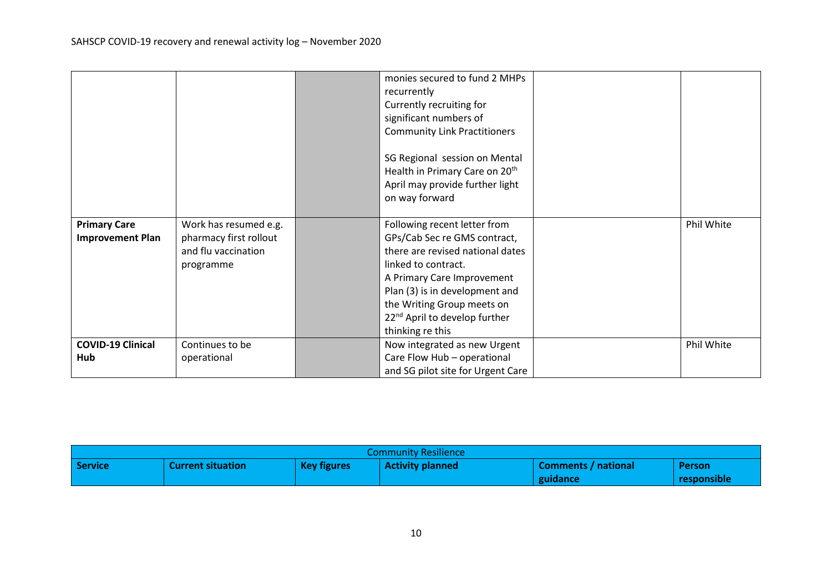|                                                |                                                                                     | monies secured to fund 2 MHPs<br>recurrently<br>Currently recruiting for<br>significant numbers of<br><b>Community Link Practitioners</b><br>SG Regional session on Mental<br>Health in Primary Care on 20 <sup>th</sup><br>April may provide further light<br>on way forward          |            |
|------------------------------------------------|-------------------------------------------------------------------------------------|----------------------------------------------------------------------------------------------------------------------------------------------------------------------------------------------------------------------------------------------------------------------------------------|------------|
| <b>Primary Care</b><br><b>Improvement Plan</b> | Work has resumed e.g.<br>pharmacy first rollout<br>and flu vaccination<br>programme | Following recent letter from<br>GPs/Cab Sec re GMS contract,<br>there are revised national dates<br>linked to contract.<br>A Primary Care Improvement<br>Plan (3) is in development and<br>the Writing Group meets on<br>22 <sup>nd</sup> April to develop further<br>thinking re this | Phil White |
| <b>COVID-19 Clinical</b><br>Hub                | Continues to be<br>operational                                                      | Now integrated as new Urgent<br>Care Flow Hub - operational<br>and SG pilot site for Urgent Care                                                                                                                                                                                       | Phil White |

| <b>Community Resilience</b> |                          |                    |                         |                     |               |  |
|-----------------------------|--------------------------|--------------------|-------------------------|---------------------|---------------|--|
| Service                     | <b>Current situation</b> | <b>Key figures</b> | <b>Activity planned</b> | Comments / national | <b>Person</b> |  |
|                             |                          |                    |                         | guidance            | responsible   |  |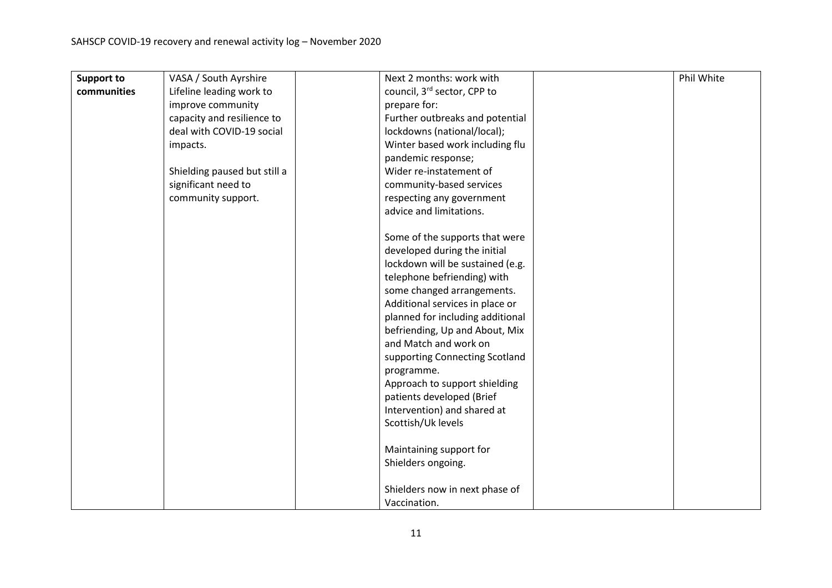| <b>Support to</b> | VASA / South Ayrshire        | Next 2 months: work with         | Phil White |
|-------------------|------------------------------|----------------------------------|------------|
| communities       | Lifeline leading work to     | council, 3rd sector, CPP to      |            |
|                   | improve community            | prepare for:                     |            |
|                   | capacity and resilience to   | Further outbreaks and potential  |            |
|                   | deal with COVID-19 social    | lockdowns (national/local);      |            |
|                   | impacts.                     | Winter based work including flu  |            |
|                   |                              | pandemic response;               |            |
|                   | Shielding paused but still a | Wider re-instatement of          |            |
|                   | significant need to          | community-based services         |            |
|                   | community support.           | respecting any government        |            |
|                   |                              | advice and limitations.          |            |
|                   |                              |                                  |            |
|                   |                              | Some of the supports that were   |            |
|                   |                              | developed during the initial     |            |
|                   |                              | lockdown will be sustained (e.g. |            |
|                   |                              | telephone befriending) with      |            |
|                   |                              | some changed arrangements.       |            |
|                   |                              | Additional services in place or  |            |
|                   |                              | planned for including additional |            |
|                   |                              | befriending, Up and About, Mix   |            |
|                   |                              | and Match and work on            |            |
|                   |                              | supporting Connecting Scotland   |            |
|                   |                              | programme.                       |            |
|                   |                              | Approach to support shielding    |            |
|                   |                              | patients developed (Brief        |            |
|                   |                              | Intervention) and shared at      |            |
|                   |                              | Scottish/Uk levels               |            |
|                   |                              | Maintaining support for          |            |
|                   |                              | Shielders ongoing.               |            |
|                   |                              |                                  |            |
|                   |                              | Shielders now in next phase of   |            |
|                   |                              | Vaccination.                     |            |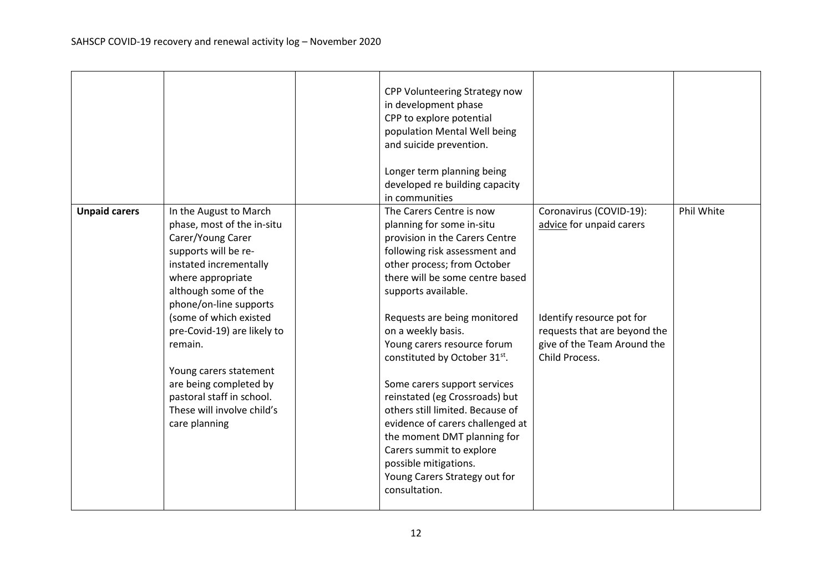|                      |                                                                                                                                                                                                    | CPP Volunteering Strategy now<br>in development phase<br>CPP to explore potential<br>population Mental Well being<br>and suicide prevention.<br>Longer term planning being<br>developed re building capacity<br>in communities                                                                                                                                                                    |                                                                                                            |            |
|----------------------|----------------------------------------------------------------------------------------------------------------------------------------------------------------------------------------------------|---------------------------------------------------------------------------------------------------------------------------------------------------------------------------------------------------------------------------------------------------------------------------------------------------------------------------------------------------------------------------------------------------|------------------------------------------------------------------------------------------------------------|------------|
| <b>Unpaid carers</b> | In the August to March<br>phase, most of the in-situ<br>Carer/Young Carer<br>supports will be re-<br>instated incrementally<br>where appropriate<br>although some of the<br>phone/on-line supports | The Carers Centre is now<br>planning for some in-situ<br>provision in the Carers Centre<br>following risk assessment and<br>other process; from October<br>there will be some centre based<br>supports available.                                                                                                                                                                                 | Coronavirus (COVID-19):<br>advice for unpaid carers                                                        | Phil White |
|                      | (some of which existed<br>pre-Covid-19) are likely to<br>remain.<br>Young carers statement<br>are being completed by<br>pastoral staff in school.<br>These will involve child's<br>care planning   | Requests are being monitored<br>on a weekly basis.<br>Young carers resource forum<br>constituted by October 31st.<br>Some carers support services<br>reinstated (eg Crossroads) but<br>others still limited. Because of<br>evidence of carers challenged at<br>the moment DMT planning for<br>Carers summit to explore<br>possible mitigations.<br>Young Carers Strategy out for<br>consultation. | Identify resource pot for<br>requests that are beyond the<br>give of the Team Around the<br>Child Process. |            |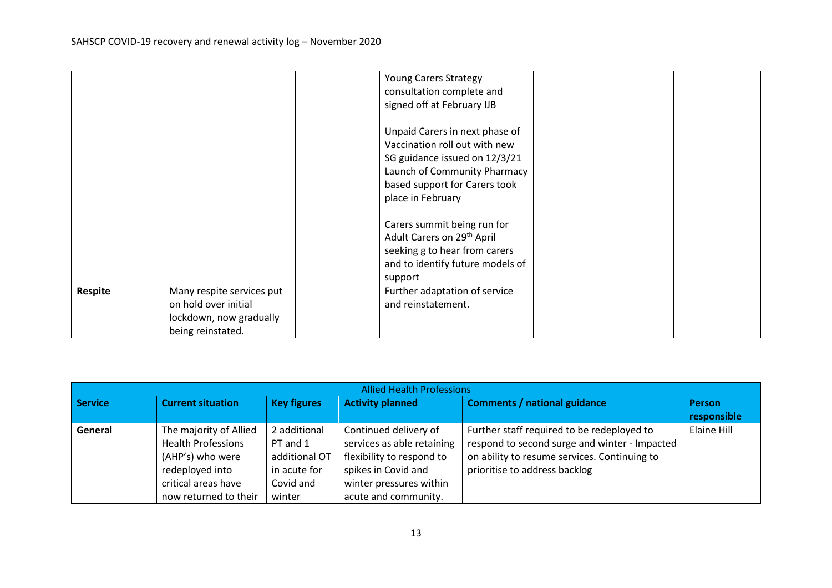|         |                           | <b>Young Carers Strategy</b>           |  |
|---------|---------------------------|----------------------------------------|--|
|         |                           | consultation complete and              |  |
|         |                           | signed off at February IJB             |  |
|         |                           |                                        |  |
|         |                           | Unpaid Carers in next phase of         |  |
|         |                           | Vaccination roll out with new          |  |
|         |                           | SG guidance issued on 12/3/21          |  |
|         |                           | Launch of Community Pharmacy           |  |
|         |                           | based support for Carers took          |  |
|         |                           | place in February                      |  |
|         |                           |                                        |  |
|         |                           | Carers summit being run for            |  |
|         |                           | Adult Carers on 29 <sup>th</sup> April |  |
|         |                           | seeking g to hear from carers          |  |
|         |                           | and to identify future models of       |  |
|         |                           | support                                |  |
| Respite | Many respite services put | Further adaptation of service          |  |
|         | on hold over initial      | and reinstatement.                     |  |
|         | lockdown, now gradually   |                                        |  |
|         | being reinstated.         |                                        |  |

| <b>Allied Health Professions</b> |                           |                    |                            |                                               |                              |  |  |  |
|----------------------------------|---------------------------|--------------------|----------------------------|-----------------------------------------------|------------------------------|--|--|--|
| <b>Service</b>                   | <b>Current situation</b>  | <b>Key figures</b> | <b>Activity planned</b>    | <b>Comments / national guidance</b>           | <b>Person</b><br>responsible |  |  |  |
|                                  |                           |                    |                            |                                               |                              |  |  |  |
| General                          | The majority of Allied    | 2 additional       | Continued delivery of      | Further staff required to be redeployed to    | Elaine Hill                  |  |  |  |
|                                  | <b>Health Professions</b> | PT and 1           | services as able retaining | respond to second surge and winter - Impacted |                              |  |  |  |
|                                  | (AHP's) who were          | additional OT      | flexibility to respond to  | on ability to resume services. Continuing to  |                              |  |  |  |
|                                  | redeployed into           | in acute for       | spikes in Covid and        | prioritise to address backlog                 |                              |  |  |  |
|                                  | critical areas have       | Covid and          | winter pressures within    |                                               |                              |  |  |  |
|                                  | now returned to their     | winter             | acute and community.       |                                               |                              |  |  |  |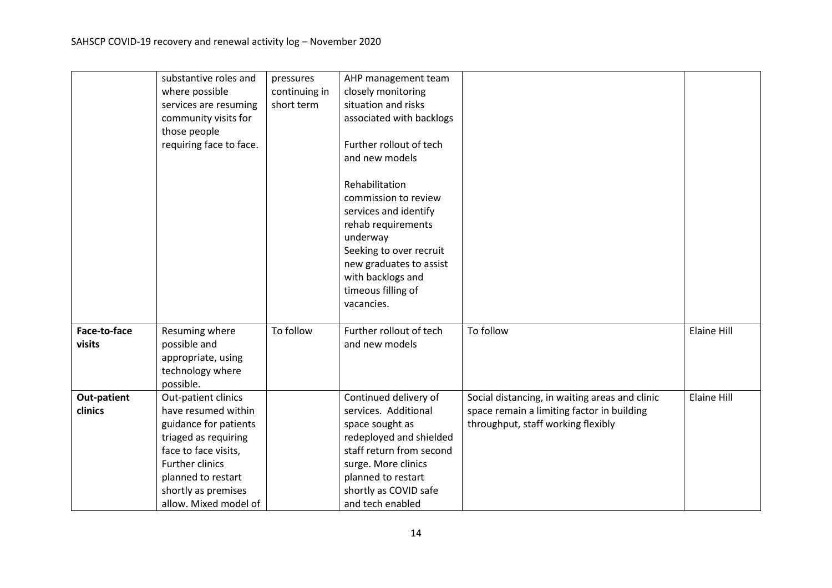|                        | substantive roles and<br>where possible<br>services are resuming<br>community visits for<br>those people<br>requiring face to face.                                                                                 | pressures<br>continuing in<br>short term | AHP management team<br>closely monitoring<br>situation and risks<br>associated with backlogs<br>Further rollout of tech<br>and new models<br>Rehabilitation<br>commission to review<br>services and identify<br>rehab requirements<br>underway<br>Seeking to over recruit<br>new graduates to assist<br>with backlogs and<br>timeous filling of |                                                                                                                                    |             |
|------------------------|---------------------------------------------------------------------------------------------------------------------------------------------------------------------------------------------------------------------|------------------------------------------|-------------------------------------------------------------------------------------------------------------------------------------------------------------------------------------------------------------------------------------------------------------------------------------------------------------------------------------------------|------------------------------------------------------------------------------------------------------------------------------------|-------------|
| Face-to-face           | Resuming where                                                                                                                                                                                                      | To follow                                | vacancies.<br>Further rollout of tech                                                                                                                                                                                                                                                                                                           | To follow                                                                                                                          | Elaine Hill |
| visits                 | possible and<br>appropriate, using<br>technology where<br>possible.                                                                                                                                                 |                                          | and new models                                                                                                                                                                                                                                                                                                                                  |                                                                                                                                    |             |
| Out-patient<br>clinics | Out-patient clinics<br>have resumed within<br>guidance for patients<br>triaged as requiring<br>face to face visits,<br><b>Further clinics</b><br>planned to restart<br>shortly as premises<br>allow. Mixed model of |                                          | Continued delivery of<br>services. Additional<br>space sought as<br>redeployed and shielded<br>staff return from second<br>surge. More clinics<br>planned to restart<br>shortly as COVID safe<br>and tech enabled                                                                                                                               | Social distancing, in waiting areas and clinic<br>space remain a limiting factor in building<br>throughput, staff working flexibly | Elaine Hill |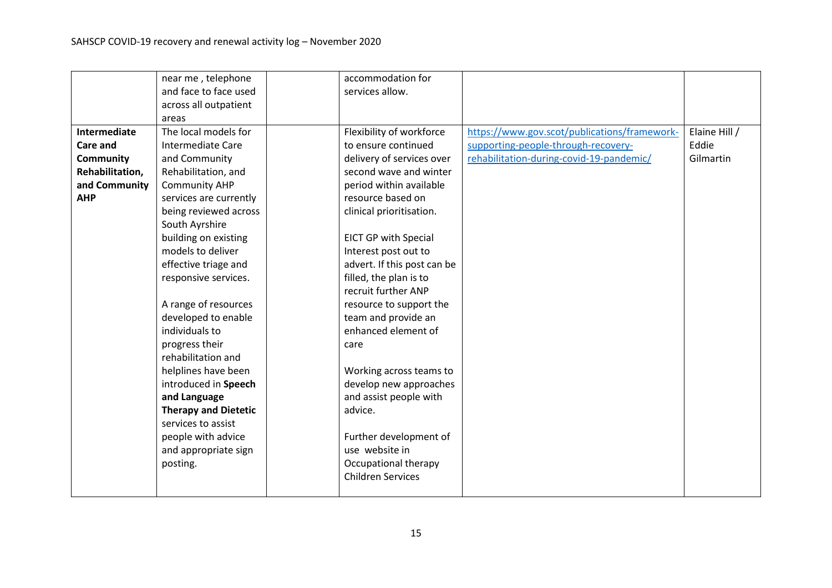|                     | near me, telephone          | accommodation for           |                                              |               |
|---------------------|-----------------------------|-----------------------------|----------------------------------------------|---------------|
|                     | and face to face used       | services allow.             |                                              |               |
|                     | across all outpatient       |                             |                                              |               |
|                     | areas                       |                             |                                              |               |
| <b>Intermediate</b> | The local models for        | Flexibility of workforce    | https://www.gov.scot/publications/framework- | Elaine Hill / |
| Care and            | Intermediate Care           | to ensure continued         | supporting-people-through-recovery-          | Eddie         |
| <b>Community</b>    | and Community               | delivery of services over   | rehabilitation-during-covid-19-pandemic/     | Gilmartin     |
| Rehabilitation,     | Rehabilitation, and         | second wave and winter      |                                              |               |
| and Community       | <b>Community AHP</b>        | period within available     |                                              |               |
| <b>AHP</b>          | services are currently      | resource based on           |                                              |               |
|                     | being reviewed across       | clinical prioritisation.    |                                              |               |
|                     | South Ayrshire              |                             |                                              |               |
|                     | building on existing        | <b>EICT GP with Special</b> |                                              |               |
|                     | models to deliver           | Interest post out to        |                                              |               |
|                     | effective triage and        | advert. If this post can be |                                              |               |
|                     | responsive services.        | filled, the plan is to      |                                              |               |
|                     |                             | recruit further ANP         |                                              |               |
|                     | A range of resources        | resource to support the     |                                              |               |
|                     | developed to enable         | team and provide an         |                                              |               |
|                     | individuals to              | enhanced element of         |                                              |               |
|                     | progress their              | care                        |                                              |               |
|                     | rehabilitation and          |                             |                                              |               |
|                     | helplines have been         | Working across teams to     |                                              |               |
|                     | introduced in Speech        | develop new approaches      |                                              |               |
|                     | and Language                | and assist people with      |                                              |               |
|                     | <b>Therapy and Dietetic</b> | advice.                     |                                              |               |
|                     | services to assist          |                             |                                              |               |
|                     | people with advice          | Further development of      |                                              |               |
|                     | and appropriate sign        | use website in              |                                              |               |
|                     | posting.                    | Occupational therapy        |                                              |               |
|                     |                             | <b>Children Services</b>    |                                              |               |
|                     |                             |                             |                                              |               |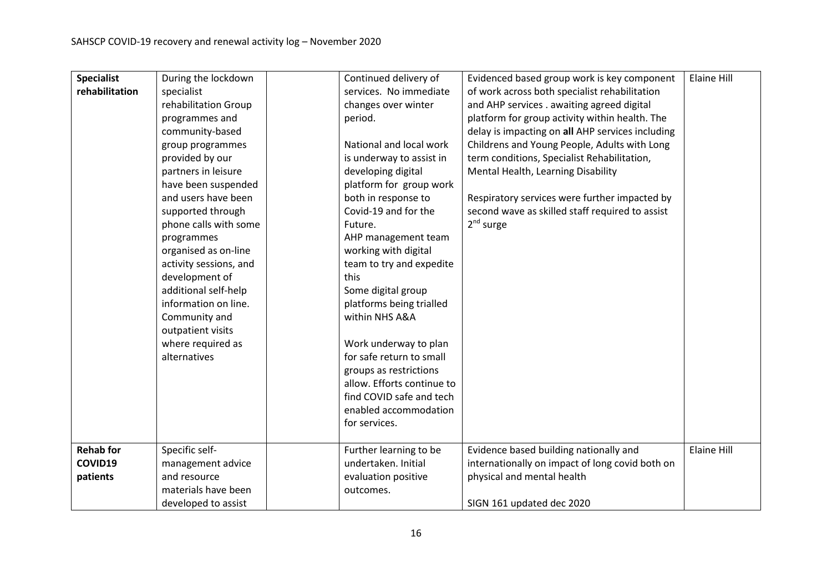| <b>Specialist</b> | During the lockdown    | Continued delivery of      | Evidenced based group work is key component      | Elaine Hill        |
|-------------------|------------------------|----------------------------|--------------------------------------------------|--------------------|
| rehabilitation    | specialist             | services. No immediate     | of work across both specialist rehabilitation    |                    |
|                   | rehabilitation Group   | changes over winter        | and AHP services . awaiting agreed digital       |                    |
|                   | programmes and         | period.                    | platform for group activity within health. The   |                    |
|                   | community-based        |                            | delay is impacting on all AHP services including |                    |
|                   | group programmes       | National and local work    | Childrens and Young People, Adults with Long     |                    |
|                   | provided by our        | is underway to assist in   | term conditions, Specialist Rehabilitation,      |                    |
|                   | partners in leisure    | developing digital         | Mental Health, Learning Disability               |                    |
|                   | have been suspended    | platform for group work    |                                                  |                    |
|                   | and users have been    | both in response to        | Respiratory services were further impacted by    |                    |
|                   | supported through      | Covid-19 and for the       | second wave as skilled staff required to assist  |                    |
|                   | phone calls with some  | Future.                    | $2nd$ surge                                      |                    |
|                   | programmes             | AHP management team        |                                                  |                    |
|                   | organised as on-line   | working with digital       |                                                  |                    |
|                   | activity sessions, and | team to try and expedite   |                                                  |                    |
|                   | development of         | this                       |                                                  |                    |
|                   | additional self-help   | Some digital group         |                                                  |                    |
|                   | information on line.   | platforms being trialled   |                                                  |                    |
|                   | Community and          | within NHS A&A             |                                                  |                    |
|                   | outpatient visits      |                            |                                                  |                    |
|                   | where required as      | Work underway to plan      |                                                  |                    |
|                   | alternatives           | for safe return to small   |                                                  |                    |
|                   |                        | groups as restrictions     |                                                  |                    |
|                   |                        | allow. Efforts continue to |                                                  |                    |
|                   |                        | find COVID safe and tech   |                                                  |                    |
|                   |                        | enabled accommodation      |                                                  |                    |
|                   |                        | for services.              |                                                  |                    |
|                   |                        |                            |                                                  |                    |
| <b>Rehab for</b>  | Specific self-         | Further learning to be     | Evidence based building nationally and           | <b>Elaine Hill</b> |
| COVID19           | management advice      | undertaken. Initial        | internationally on impact of long covid both on  |                    |
| patients          | and resource           | evaluation positive        | physical and mental health                       |                    |
|                   | materials have been    | outcomes.                  |                                                  |                    |
|                   | developed to assist    |                            | SIGN 161 updated dec 2020                        |                    |
|                   |                        |                            |                                                  |                    |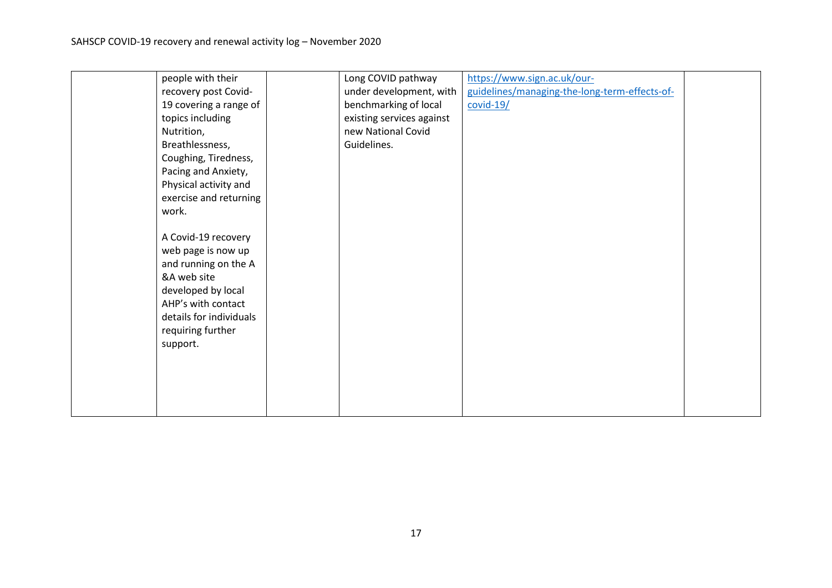| people with their       | Long COVID pathway        | https://www.sign.ac.uk/our-                   |  |
|-------------------------|---------------------------|-----------------------------------------------|--|
| recovery post Covid-    | under development, with   | guidelines/managing-the-long-term-effects-of- |  |
| 19 covering a range of  | benchmarking of local     | $covid-19/$                                   |  |
| topics including        | existing services against |                                               |  |
| Nutrition,              | new National Covid        |                                               |  |
| Breathlessness,         | Guidelines.               |                                               |  |
| Coughing, Tiredness,    |                           |                                               |  |
| Pacing and Anxiety,     |                           |                                               |  |
| Physical activity and   |                           |                                               |  |
| exercise and returning  |                           |                                               |  |
| work.                   |                           |                                               |  |
|                         |                           |                                               |  |
| A Covid-19 recovery     |                           |                                               |  |
| web page is now up      |                           |                                               |  |
| and running on the A    |                           |                                               |  |
| &A web site             |                           |                                               |  |
| developed by local      |                           |                                               |  |
| AHP's with contact      |                           |                                               |  |
| details for individuals |                           |                                               |  |
| requiring further       |                           |                                               |  |
| support.                |                           |                                               |  |
|                         |                           |                                               |  |
|                         |                           |                                               |  |
|                         |                           |                                               |  |
|                         |                           |                                               |  |
|                         |                           |                                               |  |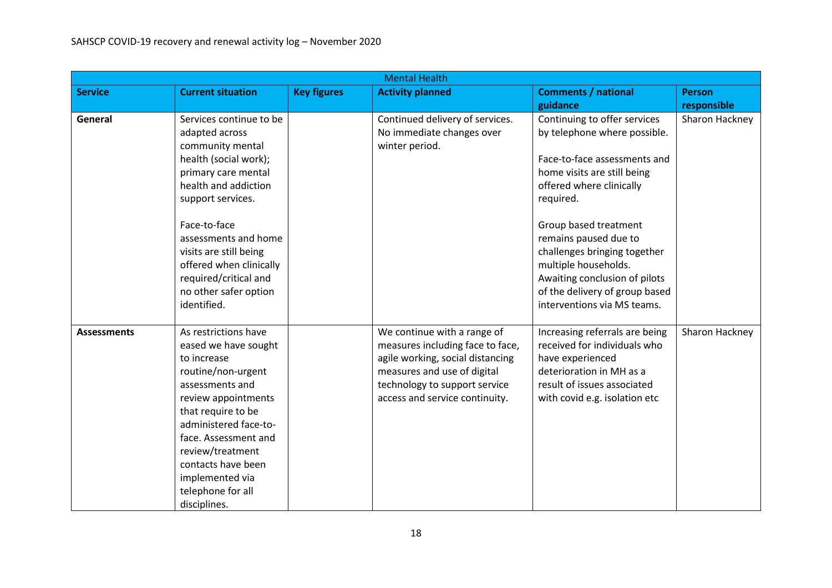| <b>Mental Health</b> |                          |                    |                                  |                                |                |  |
|----------------------|--------------------------|--------------------|----------------------------------|--------------------------------|----------------|--|
| <b>Service</b>       | <b>Current situation</b> | <b>Key figures</b> | <b>Activity planned</b>          | <b>Comments / national</b>     | <b>Person</b>  |  |
|                      |                          |                    |                                  | guidance                       | responsible    |  |
| General              | Services continue to be  |                    | Continued delivery of services.  | Continuing to offer services   | Sharon Hackney |  |
|                      | adapted across           |                    | No immediate changes over        | by telephone where possible.   |                |  |
|                      | community mental         |                    | winter period.                   |                                |                |  |
|                      | health (social work);    |                    |                                  | Face-to-face assessments and   |                |  |
|                      | primary care mental      |                    |                                  | home visits are still being    |                |  |
|                      | health and addiction     |                    |                                  | offered where clinically       |                |  |
|                      | support services.        |                    |                                  | required.                      |                |  |
|                      |                          |                    |                                  |                                |                |  |
|                      | Face-to-face             |                    |                                  | Group based treatment          |                |  |
|                      | assessments and home     |                    |                                  | remains paused due to          |                |  |
|                      | visits are still being   |                    |                                  | challenges bringing together   |                |  |
|                      | offered when clinically  |                    |                                  | multiple households.           |                |  |
|                      | required/critical and    |                    |                                  | Awaiting conclusion of pilots  |                |  |
|                      | no other safer option    |                    |                                  | of the delivery of group based |                |  |
|                      | identified.              |                    |                                  | interventions via MS teams.    |                |  |
|                      |                          |                    |                                  |                                |                |  |
| <b>Assessments</b>   | As restrictions have     |                    | We continue with a range of      | Increasing referrals are being | Sharon Hackney |  |
|                      | eased we have sought     |                    | measures including face to face, | received for individuals who   |                |  |
|                      | to increase              |                    | agile working, social distancing | have experienced               |                |  |
|                      | routine/non-urgent       |                    | measures and use of digital      | deterioration in MH as a       |                |  |
|                      | assessments and          |                    | technology to support service    | result of issues associated    |                |  |
|                      | review appointments      |                    | access and service continuity.   | with covid e.g. isolation etc  |                |  |
|                      | that require to be       |                    |                                  |                                |                |  |
|                      | administered face-to-    |                    |                                  |                                |                |  |
|                      | face. Assessment and     |                    |                                  |                                |                |  |
|                      | review/treatment         |                    |                                  |                                |                |  |
|                      | contacts have been       |                    |                                  |                                |                |  |
|                      | implemented via          |                    |                                  |                                |                |  |
|                      | telephone for all        |                    |                                  |                                |                |  |
|                      | disciplines.             |                    |                                  |                                |                |  |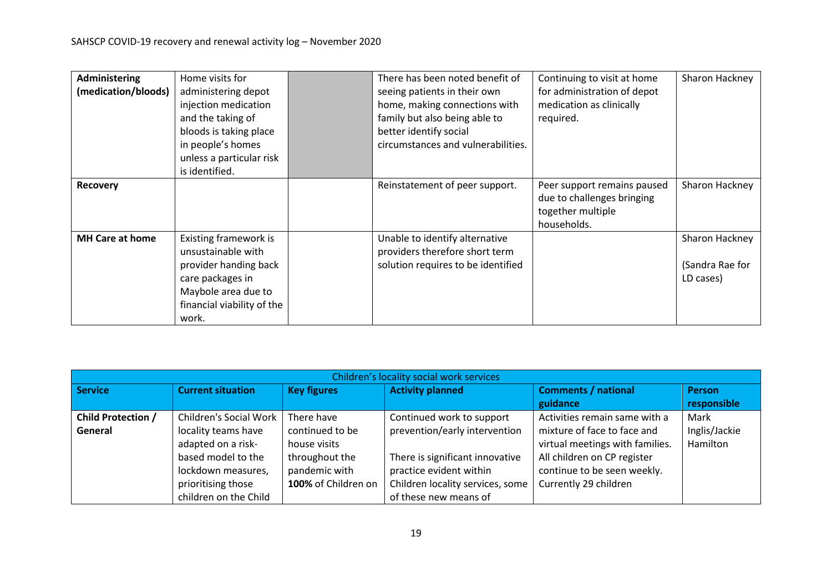| <b>Administering</b>   | Home visits for            | There has been noted benefit of    | Continuing to visit at home | Sharon Hackney  |
|------------------------|----------------------------|------------------------------------|-----------------------------|-----------------|
| (medication/bloods)    | administering depot        | seeing patients in their own       | for administration of depot |                 |
|                        | injection medication       | home, making connections with      | medication as clinically    |                 |
|                        | and the taking of          | family but also being able to      | required.                   |                 |
|                        | bloods is taking place     | better identify social             |                             |                 |
|                        | in people's homes          | circumstances and vulnerabilities. |                             |                 |
|                        | unless a particular risk   |                                    |                             |                 |
|                        | is identified.             |                                    |                             |                 |
| <b>Recovery</b>        |                            | Reinstatement of peer support.     | Peer support remains paused | Sharon Hackney  |
|                        |                            |                                    | due to challenges bringing  |                 |
|                        |                            |                                    | together multiple           |                 |
|                        |                            |                                    | households.                 |                 |
| <b>MH Care at home</b> | Existing framework is      | Unable to identify alternative     |                             | Sharon Hackney  |
|                        | unsustainable with         | providers therefore short term     |                             |                 |
|                        | provider handing back      | solution requires to be identified |                             | (Sandra Rae for |
|                        | care packages in           |                                    |                             | LD cases)       |
|                        | Maybole area due to        |                                    |                             |                 |
|                        | financial viability of the |                                    |                             |                 |
|                        | work.                      |                                    |                             |                 |

| Children's locality social work services |                                                                                                                                       |                                                                                                         |                                                                                                                                                              |                                                                                                                                                                                        |                                   |  |  |  |
|------------------------------------------|---------------------------------------------------------------------------------------------------------------------------------------|---------------------------------------------------------------------------------------------------------|--------------------------------------------------------------------------------------------------------------------------------------------------------------|----------------------------------------------------------------------------------------------------------------------------------------------------------------------------------------|-----------------------------------|--|--|--|
| <b>Service</b>                           | <b>Current situation</b>                                                                                                              | <b>Key figures</b>                                                                                      | <b>Activity planned</b>                                                                                                                                      | <b>Comments / national</b><br>guidance                                                                                                                                                 | <b>Person</b><br>responsible      |  |  |  |
| <b>Child Protection /</b><br>General     | Children's Social Work<br>locality teams have<br>adapted on a risk-<br>based model to the<br>lockdown measures,<br>prioritising those | There have<br>continued to be<br>house visits<br>throughout the<br>pandemic with<br>100% of Children on | Continued work to support<br>prevention/early intervention<br>There is significant innovative<br>practice evident within<br>Children locality services, some | Activities remain same with a<br>mixture of face to face and<br>virtual meetings with families.<br>All children on CP register<br>continue to be seen weekly.<br>Currently 29 children | Mark<br>Inglis/Jackie<br>Hamilton |  |  |  |
|                                          | children on the Child                                                                                                                 |                                                                                                         | of these new means of                                                                                                                                        |                                                                                                                                                                                        |                                   |  |  |  |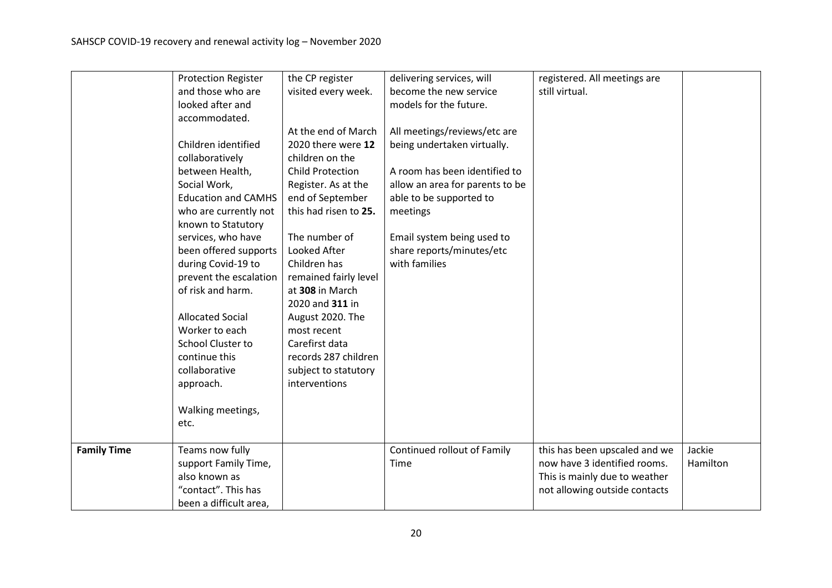|                    | <b>Protection Register</b> | the CP register         | delivering services, will       | registered. All meetings are  |          |
|--------------------|----------------------------|-------------------------|---------------------------------|-------------------------------|----------|
|                    | and those who are          | visited every week.     | become the new service          | still virtual.                |          |
|                    | looked after and           |                         | models for the future.          |                               |          |
|                    | accommodated.              |                         |                                 |                               |          |
|                    |                            | At the end of March     | All meetings/reviews/etc are    |                               |          |
|                    | Children identified        | 2020 there were 12      | being undertaken virtually.     |                               |          |
|                    | collaboratively            | children on the         |                                 |                               |          |
|                    | between Health,            | <b>Child Protection</b> | A room has been identified to   |                               |          |
|                    | Social Work,               | Register. As at the     | allow an area for parents to be |                               |          |
|                    | <b>Education and CAMHS</b> | end of September        | able to be supported to         |                               |          |
|                    | who are currently not      | this had risen to 25.   | meetings                        |                               |          |
|                    | known to Statutory         |                         |                                 |                               |          |
|                    | services, who have         | The number of           | Email system being used to      |                               |          |
|                    | been offered supports      | Looked After            | share reports/minutes/etc       |                               |          |
|                    | during Covid-19 to         | Children has            | with families                   |                               |          |
|                    | prevent the escalation     | remained fairly level   |                                 |                               |          |
|                    | of risk and harm.          | at 308 in March         |                                 |                               |          |
|                    |                            | 2020 and 311 in         |                                 |                               |          |
|                    | <b>Allocated Social</b>    | August 2020. The        |                                 |                               |          |
|                    | Worker to each             | most recent             |                                 |                               |          |
|                    | <b>School Cluster to</b>   | Carefirst data          |                                 |                               |          |
|                    | continue this              | records 287 children    |                                 |                               |          |
|                    | collaborative              | subject to statutory    |                                 |                               |          |
|                    | approach.                  | interventions           |                                 |                               |          |
|                    |                            |                         |                                 |                               |          |
|                    | Walking meetings,          |                         |                                 |                               |          |
|                    | etc.                       |                         |                                 |                               |          |
|                    |                            |                         |                                 |                               |          |
| <b>Family Time</b> | Teams now fully            |                         | Continued rollout of Family     | this has been upscaled and we | Jackie   |
|                    | support Family Time,       |                         | Time                            | now have 3 identified rooms.  | Hamilton |
|                    | also known as              |                         |                                 | This is mainly due to weather |          |
|                    | "contact". This has        |                         |                                 | not allowing outside contacts |          |
|                    | been a difficult area,     |                         |                                 |                               |          |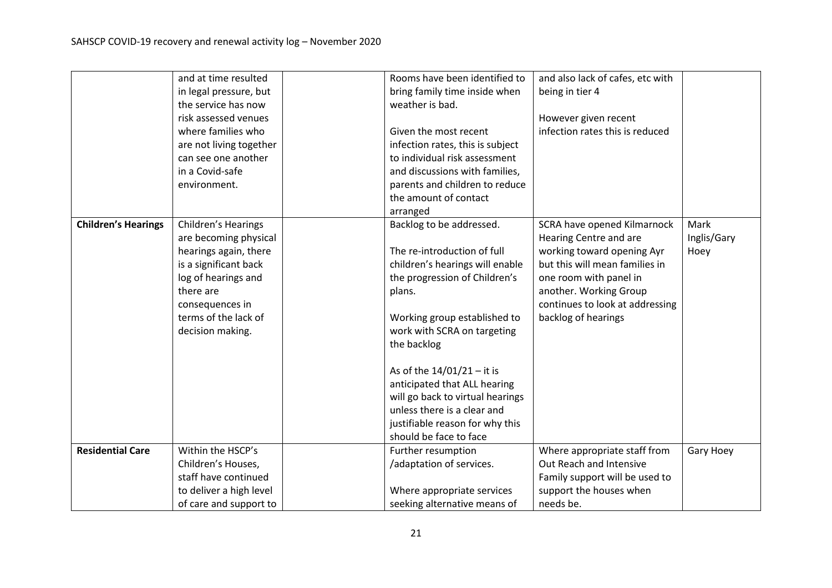|                            | and at time resulted    | Rooms have been identified to    | and also lack of cafes, etc with |             |
|----------------------------|-------------------------|----------------------------------|----------------------------------|-------------|
|                            | in legal pressure, but  | bring family time inside when    | being in tier 4                  |             |
|                            | the service has now     | weather is bad.                  |                                  |             |
|                            | risk assessed venues    |                                  | However given recent             |             |
|                            | where families who      | Given the most recent            | infection rates this is reduced  |             |
|                            | are not living together | infection rates, this is subject |                                  |             |
|                            | can see one another     | to individual risk assessment    |                                  |             |
|                            | in a Covid-safe         | and discussions with families,   |                                  |             |
|                            | environment.            | parents and children to reduce   |                                  |             |
|                            |                         | the amount of contact            |                                  |             |
|                            |                         | arranged                         |                                  |             |
| <b>Children's Hearings</b> | Children's Hearings     | Backlog to be addressed.         | SCRA have opened Kilmarnock      | Mark        |
|                            | are becoming physical   |                                  | Hearing Centre and are           | Inglis/Gary |
|                            | hearings again, there   | The re-introduction of full      | working toward opening Ayr       | Hoey        |
|                            | is a significant back   | children's hearings will enable  | but this will mean families in   |             |
|                            | log of hearings and     | the progression of Children's    | one room with panel in           |             |
|                            | there are               | plans.                           | another. Working Group           |             |
|                            | consequences in         |                                  | continues to look at addressing  |             |
|                            | terms of the lack of    | Working group established to     | backlog of hearings              |             |
|                            | decision making.        | work with SCRA on targeting      |                                  |             |
|                            |                         | the backlog                      |                                  |             |
|                            |                         | As of the $14/01/21 - it$ it is  |                                  |             |
|                            |                         | anticipated that ALL hearing     |                                  |             |
|                            |                         | will go back to virtual hearings |                                  |             |
|                            |                         | unless there is a clear and      |                                  |             |
|                            |                         | justifiable reason for why this  |                                  |             |
|                            |                         | should be face to face           |                                  |             |
| <b>Residential Care</b>    | Within the HSCP's       | Further resumption               | Where appropriate staff from     | Gary Hoey   |
|                            | Children's Houses,      | /adaptation of services.         | Out Reach and Intensive          |             |
|                            | staff have continued    |                                  | Family support will be used to   |             |
|                            | to deliver a high level | Where appropriate services       | support the houses when          |             |
|                            | of care and support to  | seeking alternative means of     | needs be.                        |             |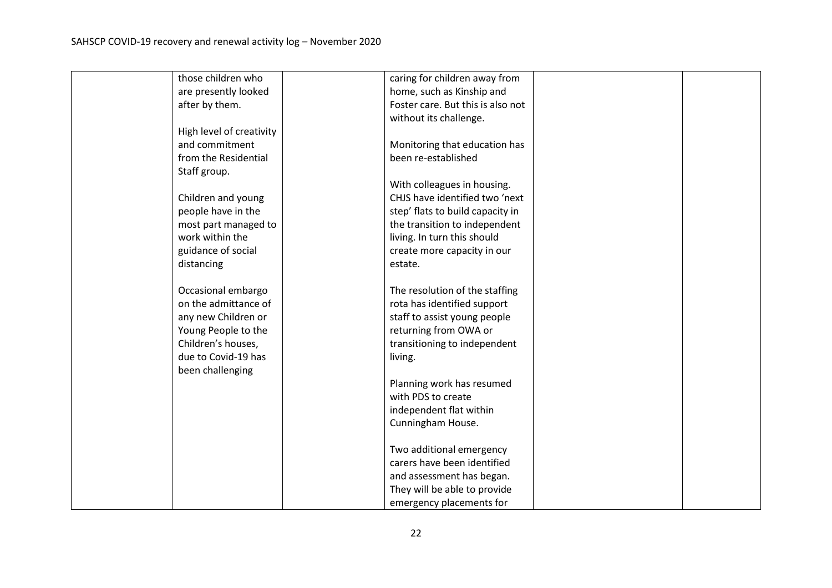| those children who       | caring for children away from     |  |
|--------------------------|-----------------------------------|--|
| are presently looked     | home, such as Kinship and         |  |
| after by them.           | Foster care. But this is also not |  |
|                          | without its challenge.            |  |
| High level of creativity |                                   |  |
| and commitment           | Monitoring that education has     |  |
| from the Residential     | been re-established               |  |
| Staff group.             |                                   |  |
|                          | With colleagues in housing.       |  |
| Children and young       | CHJS have identified two 'next    |  |
| people have in the       | step' flats to build capacity in  |  |
| most part managed to     | the transition to independent     |  |
| work within the          | living. In turn this should       |  |
| guidance of social       | create more capacity in our       |  |
| distancing               | estate.                           |  |
|                          |                                   |  |
| Occasional embargo       | The resolution of the staffing    |  |
| on the admittance of     | rota has identified support       |  |
| any new Children or      | staff to assist young people      |  |
| Young People to the      | returning from OWA or             |  |
| Children's houses,       | transitioning to independent      |  |
| due to Covid-19 has      | living.                           |  |
| been challenging         |                                   |  |
|                          | Planning work has resumed         |  |
|                          | with PDS to create                |  |
|                          | independent flat within           |  |
|                          | Cunningham House.                 |  |
|                          |                                   |  |
|                          | Two additional emergency          |  |
|                          | carers have been identified       |  |
|                          | and assessment has began.         |  |
|                          | They will be able to provide      |  |
|                          | emergency placements for          |  |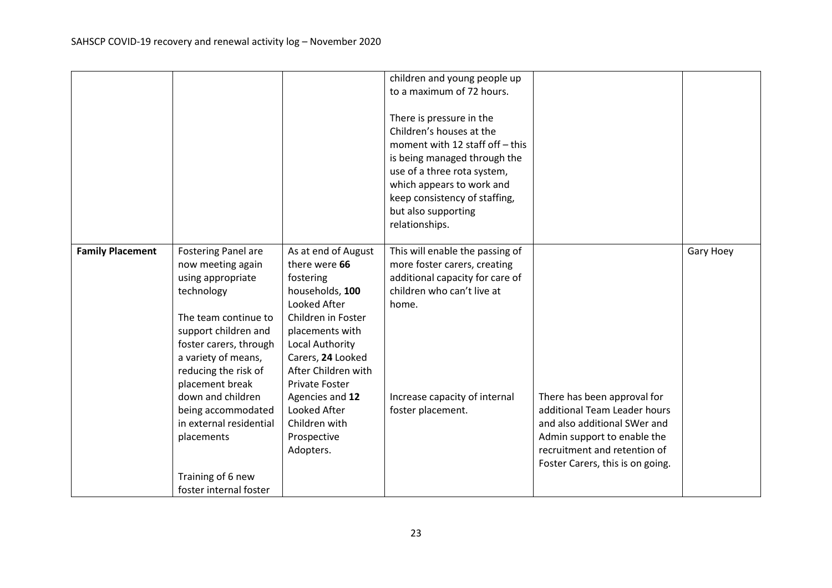|                         |                                                                                                                                                                                                                                                                                                                                                                   |                                                                                                                                                                                                                                                                                                       | children and young people up<br>to a maximum of 72 hours.<br>There is pressure in the<br>Children's houses at the<br>moment with 12 staff off - this<br>is being managed through the<br>use of a three rota system,<br>which appears to work and<br>keep consistency of staffing,<br>but also supporting<br>relationships. |                                                                                                                                                                                                |           |
|-------------------------|-------------------------------------------------------------------------------------------------------------------------------------------------------------------------------------------------------------------------------------------------------------------------------------------------------------------------------------------------------------------|-------------------------------------------------------------------------------------------------------------------------------------------------------------------------------------------------------------------------------------------------------------------------------------------------------|----------------------------------------------------------------------------------------------------------------------------------------------------------------------------------------------------------------------------------------------------------------------------------------------------------------------------|------------------------------------------------------------------------------------------------------------------------------------------------------------------------------------------------|-----------|
| <b>Family Placement</b> | <b>Fostering Panel are</b><br>now meeting again<br>using appropriate<br>technology<br>The team continue to<br>support children and<br>foster carers, through<br>a variety of means,<br>reducing the risk of<br>placement break<br>down and children<br>being accommodated<br>in external residential<br>placements<br>Training of 6 new<br>foster internal foster | As at end of August<br>there were 66<br>fostering<br>households, 100<br>Looked After<br>Children in Foster<br>placements with<br>Local Authority<br>Carers, 24 Looked<br>After Children with<br><b>Private Foster</b><br>Agencies and 12<br>Looked After<br>Children with<br>Prospective<br>Adopters. | This will enable the passing of<br>more foster carers, creating<br>additional capacity for care of<br>children who can't live at<br>home.<br>Increase capacity of internal<br>foster placement.                                                                                                                            | There has been approval for<br>additional Team Leader hours<br>and also additional SWer and<br>Admin support to enable the<br>recruitment and retention of<br>Foster Carers, this is on going. | Gary Hoey |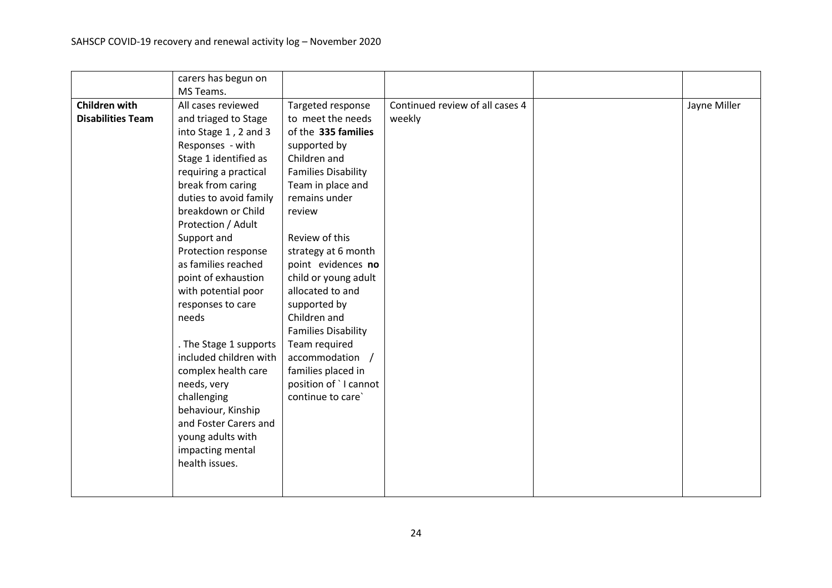|                          | carers has begun on    |                            |                                 |              |
|--------------------------|------------------------|----------------------------|---------------------------------|--------------|
|                          | MS Teams.              |                            |                                 |              |
| <b>Children with</b>     | All cases reviewed     | Targeted response          | Continued review of all cases 4 | Jayne Miller |
| <b>Disabilities Team</b> | and triaged to Stage   | to meet the needs          | weekly                          |              |
|                          | into Stage 1, 2 and 3  | of the 335 families        |                                 |              |
|                          | Responses - with       | supported by               |                                 |              |
|                          | Stage 1 identified as  | Children and               |                                 |              |
|                          | requiring a practical  | <b>Families Disability</b> |                                 |              |
|                          | break from caring      | Team in place and          |                                 |              |
|                          | duties to avoid family | remains under              |                                 |              |
|                          | breakdown or Child     | review                     |                                 |              |
|                          | Protection / Adult     |                            |                                 |              |
|                          | Support and            | Review of this             |                                 |              |
|                          | Protection response    | strategy at 6 month        |                                 |              |
|                          | as families reached    | point evidences no         |                                 |              |
|                          | point of exhaustion    | child or young adult       |                                 |              |
|                          | with potential poor    | allocated to and           |                                 |              |
|                          | responses to care      | supported by               |                                 |              |
|                          | needs                  | Children and               |                                 |              |
|                          |                        | <b>Families Disability</b> |                                 |              |
|                          | . The Stage 1 supports | Team required              |                                 |              |
|                          | included children with | accommodation /            |                                 |              |
|                          | complex health care    | families placed in         |                                 |              |
|                          | needs, very            | position of `I cannot      |                                 |              |
|                          | challenging            | continue to care`          |                                 |              |
|                          | behaviour, Kinship     |                            |                                 |              |
|                          | and Foster Carers and  |                            |                                 |              |
|                          | young adults with      |                            |                                 |              |
|                          | impacting mental       |                            |                                 |              |
|                          | health issues.         |                            |                                 |              |
|                          |                        |                            |                                 |              |
|                          |                        |                            |                                 |              |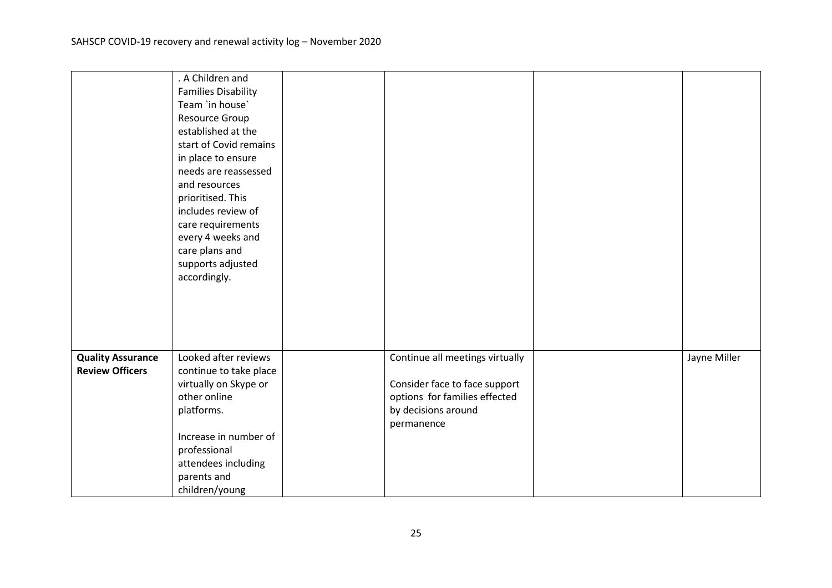|                          | . A Children and           |                                 |              |
|--------------------------|----------------------------|---------------------------------|--------------|
|                          | <b>Families Disability</b> |                                 |              |
|                          | Team 'in house'            |                                 |              |
|                          | Resource Group             |                                 |              |
|                          | established at the         |                                 |              |
|                          | start of Covid remains     |                                 |              |
|                          | in place to ensure         |                                 |              |
|                          | needs are reassessed       |                                 |              |
|                          | and resources              |                                 |              |
|                          | prioritised. This          |                                 |              |
|                          | includes review of         |                                 |              |
|                          | care requirements          |                                 |              |
|                          | every 4 weeks and          |                                 |              |
|                          | care plans and             |                                 |              |
|                          | supports adjusted          |                                 |              |
|                          | accordingly.               |                                 |              |
|                          |                            |                                 |              |
|                          |                            |                                 |              |
|                          |                            |                                 |              |
|                          |                            |                                 |              |
|                          |                            |                                 |              |
| <b>Quality Assurance</b> | Looked after reviews       | Continue all meetings virtually | Jayne Miller |
| <b>Review Officers</b>   | continue to take place     |                                 |              |
|                          | virtually on Skype or      | Consider face to face support   |              |
|                          | other online               | options for families effected   |              |
|                          | platforms.                 | by decisions around             |              |
|                          |                            | permanence                      |              |
|                          | Increase in number of      |                                 |              |
|                          | professional               |                                 |              |
|                          | attendees including        |                                 |              |
|                          | parents and                |                                 |              |
|                          | children/young             |                                 |              |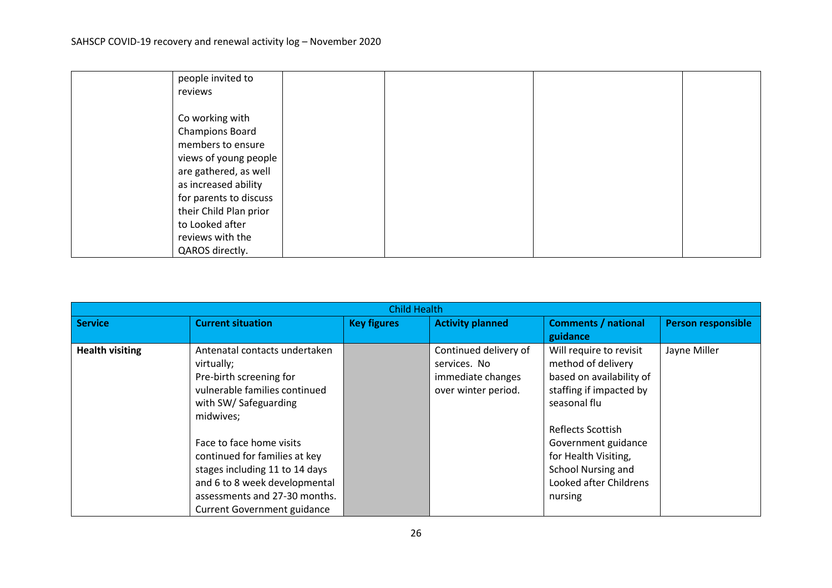| people invited to      |  |  |
|------------------------|--|--|
| reviews                |  |  |
|                        |  |  |
| Co working with        |  |  |
| <b>Champions Board</b> |  |  |
| members to ensure      |  |  |
| views of young people  |  |  |
| are gathered, as well  |  |  |
| as increased ability   |  |  |
| for parents to discuss |  |  |
| their Child Plan prior |  |  |
| to Looked after        |  |  |
| reviews with the       |  |  |
| QAROS directly.        |  |  |

|                        | <b>Child Health</b>                |                    |                         |                            |                           |  |
|------------------------|------------------------------------|--------------------|-------------------------|----------------------------|---------------------------|--|
| <b>Service</b>         | <b>Current situation</b>           | <b>Key figures</b> | <b>Activity planned</b> | <b>Comments / national</b> | <b>Person responsible</b> |  |
|                        |                                    |                    |                         | guidance                   |                           |  |
| <b>Health visiting</b> | Antenatal contacts undertaken      |                    | Continued delivery of   | Will require to revisit    | Jayne Miller              |  |
|                        | virtually;                         |                    | services. No            | method of delivery         |                           |  |
|                        | Pre-birth screening for            |                    | immediate changes       | based on availability of   |                           |  |
|                        | vulnerable families continued      |                    | over winter period.     | staffing if impacted by    |                           |  |
|                        | with SW/ Safeguarding              |                    |                         | seasonal flu               |                           |  |
|                        | midwives;                          |                    |                         |                            |                           |  |
|                        |                                    |                    |                         | Reflects Scottish          |                           |  |
|                        | Face to face home visits           |                    |                         | Government guidance        |                           |  |
|                        | continued for families at key      |                    |                         | for Health Visiting,       |                           |  |
|                        | stages including 11 to 14 days     |                    |                         | School Nursing and         |                           |  |
|                        | and 6 to 8 week developmental      |                    |                         | Looked after Childrens     |                           |  |
|                        | assessments and 27-30 months.      |                    |                         | nursing                    |                           |  |
|                        | <b>Current Government guidance</b> |                    |                         |                            |                           |  |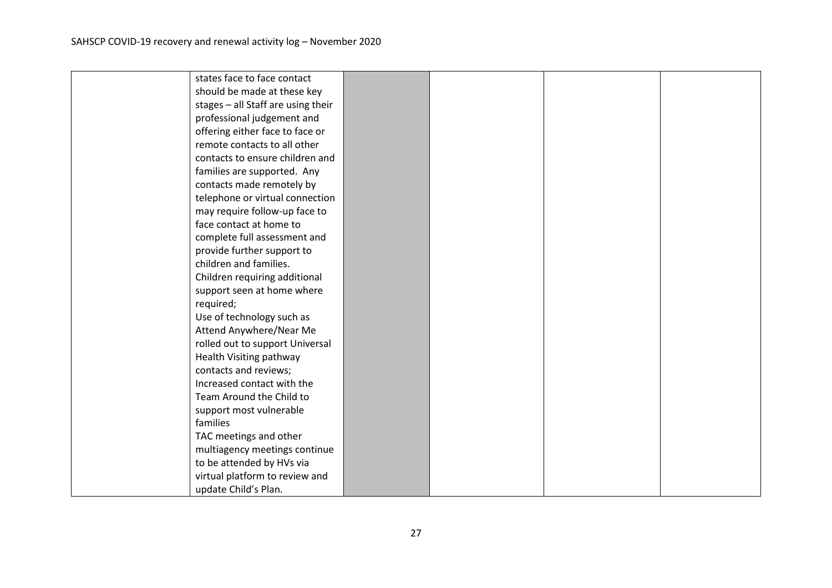| states face to face contact        |  |  |
|------------------------------------|--|--|
| should be made at these key        |  |  |
| stages - all Staff are using their |  |  |
| professional judgement and         |  |  |
| offering either face to face or    |  |  |
| remote contacts to all other       |  |  |
| contacts to ensure children and    |  |  |
| families are supported. Any        |  |  |
| contacts made remotely by          |  |  |
| telephone or virtual connection    |  |  |
| may require follow-up face to      |  |  |
| face contact at home to            |  |  |
| complete full assessment and       |  |  |
| provide further support to         |  |  |
| children and families.             |  |  |
| Children requiring additional      |  |  |
| support seen at home where         |  |  |
| required;                          |  |  |
| Use of technology such as          |  |  |
| Attend Anywhere/Near Me            |  |  |
| rolled out to support Universal    |  |  |
| Health Visiting pathway            |  |  |
| contacts and reviews;              |  |  |
| Increased contact with the         |  |  |
| Team Around the Child to           |  |  |
| support most vulnerable            |  |  |
| families                           |  |  |
| TAC meetings and other             |  |  |
| multiagency meetings continue      |  |  |
| to be attended by HVs via          |  |  |
| virtual platform to review and     |  |  |
| update Child's Plan.               |  |  |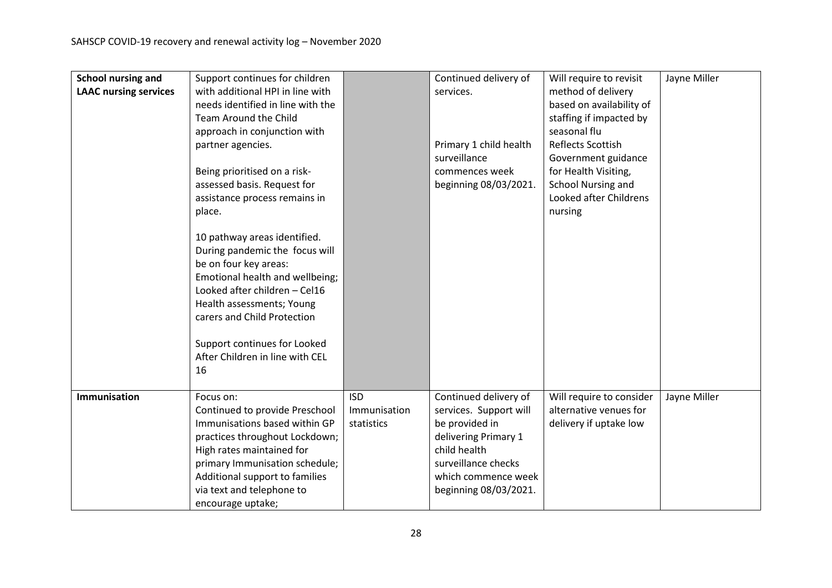| School nursing and<br><b>LAAC nursing services</b> | Support continues for children<br>with additional HPI in line with<br>needs identified in line with the<br>Team Around the Child<br>approach in conjunction with<br>partner agencies.<br>Being prioritised on a risk-<br>assessed basis. Request for<br>assistance process remains in<br>place.<br>10 pathway areas identified.<br>During pandemic the focus will |                                          | Continued delivery of<br>services.<br>Primary 1 child health<br>surveillance<br>commences week<br>beginning 08/03/2021.                                                          | Will require to revisit<br>method of delivery<br>based on availability of<br>staffing if impacted by<br>seasonal flu<br><b>Reflects Scottish</b><br>Government guidance<br>for Health Visiting,<br><b>School Nursing and</b><br>Looked after Childrens<br>nursing | Jayne Miller |
|----------------------------------------------------|-------------------------------------------------------------------------------------------------------------------------------------------------------------------------------------------------------------------------------------------------------------------------------------------------------------------------------------------------------------------|------------------------------------------|----------------------------------------------------------------------------------------------------------------------------------------------------------------------------------|-------------------------------------------------------------------------------------------------------------------------------------------------------------------------------------------------------------------------------------------------------------------|--------------|
|                                                    | be on four key areas:<br>Emotional health and wellbeing;<br>Looked after children - Cel16<br>Health assessments; Young<br>carers and Child Protection<br>Support continues for Looked<br>After Children in line with CEL<br>16                                                                                                                                    |                                          |                                                                                                                                                                                  |                                                                                                                                                                                                                                                                   |              |
| Immunisation                                       | Focus on:<br>Continued to provide Preschool<br>Immunisations based within GP<br>practices throughout Lockdown;<br>High rates maintained for<br>primary Immunisation schedule;<br>Additional support to families<br>via text and telephone to<br>encourage uptake;                                                                                                 | <b>ISD</b><br>Immunisation<br>statistics | Continued delivery of<br>services. Support will<br>be provided in<br>delivering Primary 1<br>child health<br>surveillance checks<br>which commence week<br>beginning 08/03/2021. | Will require to consider<br>alternative venues for<br>delivery if uptake low                                                                                                                                                                                      | Jayne Miller |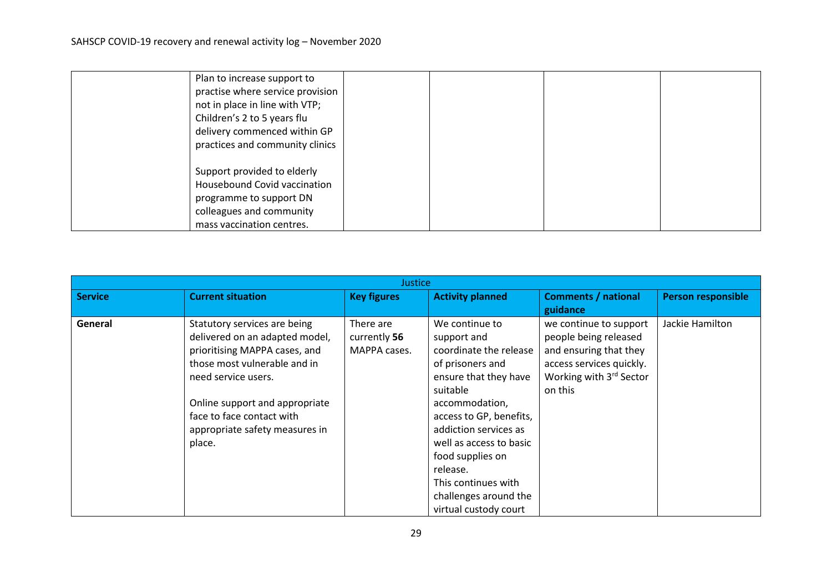| Plan to increase support to<br>practise where service provision |  |  |
|-----------------------------------------------------------------|--|--|
| not in place in line with VTP;                                  |  |  |
| Children's 2 to 5 years flu                                     |  |  |
| delivery commenced within GP                                    |  |  |
| practices and community clinics                                 |  |  |
|                                                                 |  |  |
| Support provided to elderly                                     |  |  |
| Housebound Covid vaccination                                    |  |  |
| programme to support DN                                         |  |  |
| colleagues and community                                        |  |  |
| mass vaccination centres.                                       |  |  |

| <b>Justice</b> |                                |                    |                         |                            |                           |
|----------------|--------------------------------|--------------------|-------------------------|----------------------------|---------------------------|
| <b>Service</b> | <b>Current situation</b>       | <b>Key figures</b> | <b>Activity planned</b> | <b>Comments / national</b> | <b>Person responsible</b> |
|                |                                |                    |                         | guidance                   |                           |
| General        | Statutory services are being   | There are          | We continue to          | we continue to support     | Jackie Hamilton           |
|                | delivered on an adapted model, | currently 56       | support and             | people being released      |                           |
|                | prioritising MAPPA cases, and  | MAPPA cases.       | coordinate the release  | and ensuring that they     |                           |
|                | those most vulnerable and in   |                    | of prisoners and        | access services quickly.   |                           |
|                | need service users.            |                    | ensure that they have   | Working with 3rd Sector    |                           |
|                |                                |                    | suitable                | on this                    |                           |
|                | Online support and appropriate |                    | accommodation,          |                            |                           |
|                | face to face contact with      |                    | access to GP, benefits, |                            |                           |
|                | appropriate safety measures in |                    | addiction services as   |                            |                           |
|                | place.                         |                    | well as access to basic |                            |                           |
|                |                                |                    | food supplies on        |                            |                           |
|                |                                |                    | release.                |                            |                           |
|                |                                |                    | This continues with     |                            |                           |
|                |                                |                    | challenges around the   |                            |                           |
|                |                                |                    | virtual custody court   |                            |                           |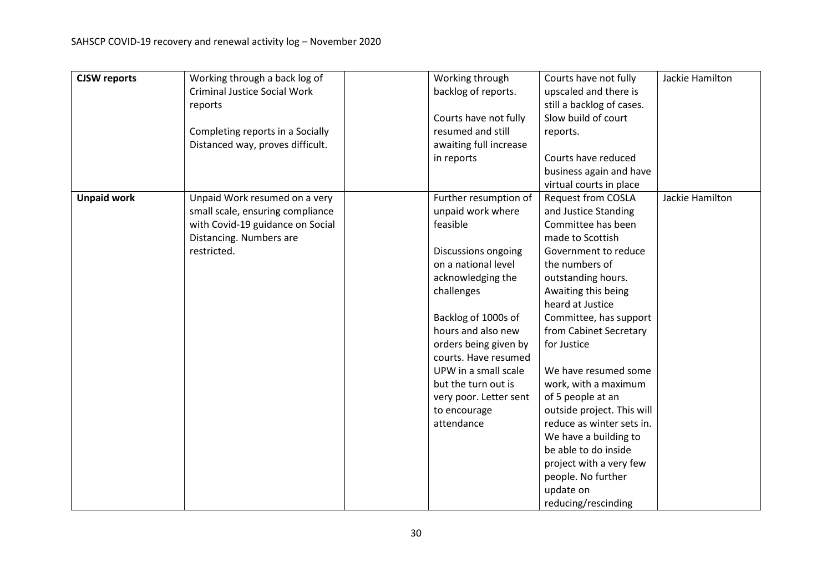| <b>CJSW</b> reports | Working through a back log of       | Working through        | Courts have not fully                         | Jackie Hamilton |
|---------------------|-------------------------------------|------------------------|-----------------------------------------------|-----------------|
|                     | <b>Criminal Justice Social Work</b> | backlog of reports.    | upscaled and there is                         |                 |
|                     | reports                             |                        | still a backlog of cases.                     |                 |
|                     |                                     | Courts have not fully  | Slow build of court                           |                 |
|                     | Completing reports in a Socially    | resumed and still      | reports.                                      |                 |
|                     | Distanced way, proves difficult.    | awaiting full increase |                                               |                 |
|                     |                                     | in reports             | Courts have reduced                           |                 |
|                     |                                     |                        | business again and have                       |                 |
|                     |                                     |                        | virtual courts in place                       |                 |
| <b>Unpaid work</b>  | Unpaid Work resumed on a very       | Further resumption of  | <b>Request from COSLA</b>                     | Jackie Hamilton |
|                     | small scale, ensuring compliance    | unpaid work where      | and Justice Standing                          |                 |
|                     | with Covid-19 guidance on Social    | feasible               | Committee has been                            |                 |
|                     | Distancing. Numbers are             |                        | made to Scottish                              |                 |
|                     | restricted.                         | Discussions ongoing    | Government to reduce                          |                 |
|                     |                                     | on a national level    | the numbers of                                |                 |
|                     |                                     | acknowledging the      | outstanding hours.                            |                 |
|                     |                                     | challenges             | Awaiting this being                           |                 |
|                     |                                     |                        | heard at Justice                              |                 |
|                     |                                     | Backlog of 1000s of    | Committee, has support                        |                 |
|                     |                                     | hours and also new     | from Cabinet Secretary                        |                 |
|                     |                                     | orders being given by  | for Justice                                   |                 |
|                     |                                     | courts. Have resumed   |                                               |                 |
|                     |                                     | UPW in a small scale   | We have resumed some                          |                 |
|                     |                                     | but the turn out is    | work, with a maximum                          |                 |
|                     |                                     | very poor. Letter sent | of 5 people at an                             |                 |
|                     |                                     | to encourage           | outside project. This will                    |                 |
|                     |                                     | attendance             | reduce as winter sets in.                     |                 |
|                     |                                     |                        | We have a building to<br>be able to do inside |                 |
|                     |                                     |                        | project with a very few                       |                 |
|                     |                                     |                        | people. No further                            |                 |
|                     |                                     |                        | update on                                     |                 |
|                     |                                     |                        | reducing/rescinding                           |                 |